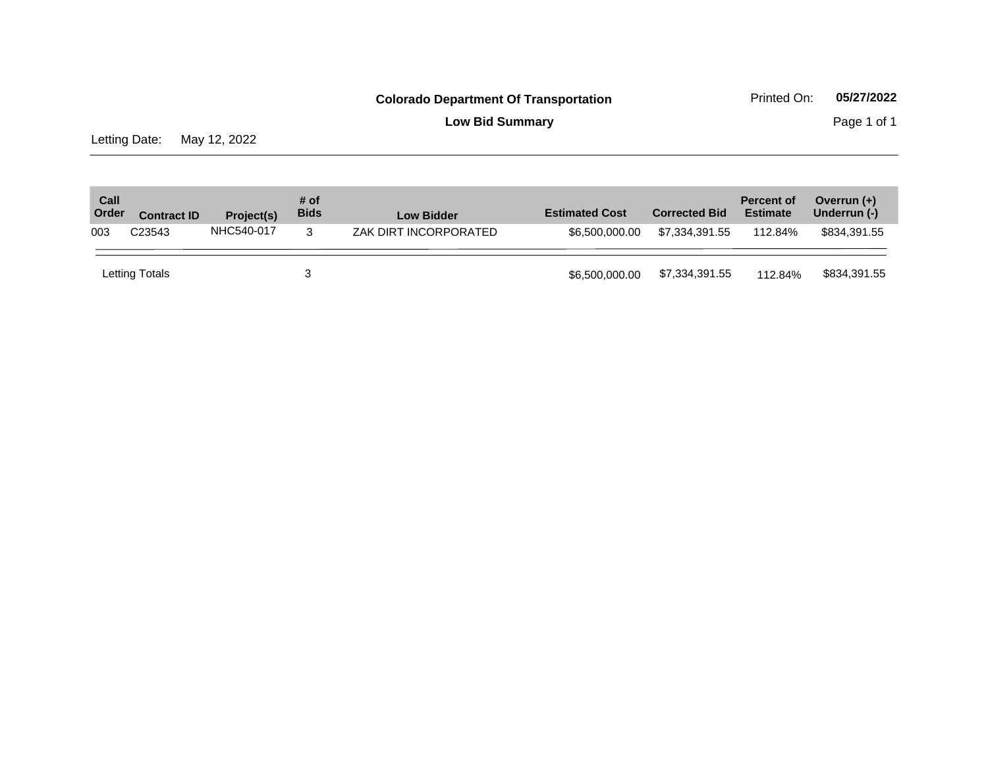**Low Bid Summary** Page 1 of 1

Letting Date: May 12, 2022

| Call<br>Order | <b>Contract ID</b> | Project(s) | # of<br><b>Bids</b> | <b>Low Bidder</b>     | <b>Estimated Cost</b> | <b>Corrected Bid</b> | <b>Percent of</b><br><b>Estimate</b> | Overrun (+)<br>Underrun (-) |
|---------------|--------------------|------------|---------------------|-----------------------|-----------------------|----------------------|--------------------------------------|-----------------------------|
| 003           | C <sub>23543</sub> | NHC540-017 | 3                   | ZAK DIRT INCORPORATED | \$6.500.000.00        | \$7.334.391.55       | 112.84%                              | \$834,391.55                |
|               | Letting Totals     |            |                     |                       | \$6,500,000.00        | \$7,334,391.55       | 112.84%                              | \$834,391.55                |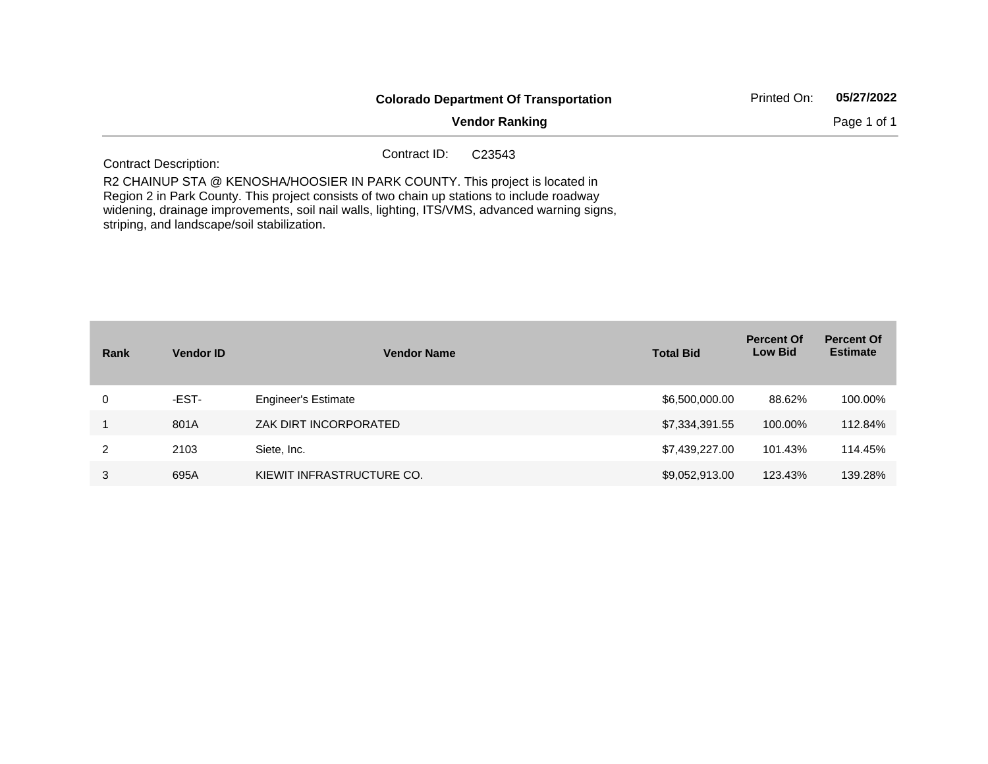|                                             | <b>Colorado Department Of Transportation</b>                                                                                                                                                                                                                              | 05/27/2022<br>Printed On: |
|---------------------------------------------|---------------------------------------------------------------------------------------------------------------------------------------------------------------------------------------------------------------------------------------------------------------------------|---------------------------|
|                                             | <b>Vendor Ranking</b>                                                                                                                                                                                                                                                     | Page 1 of 1               |
| <b>Contract Description:</b>                | Contract ID:<br>C <sub>23543</sub>                                                                                                                                                                                                                                        |                           |
| striping, and landscape/soil stabilization. | R2 CHAINUP STA @ KENOSHA/HOOSIER IN PARK COUNTY. This project is located in<br>Region 2 in Park County. This project consists of two chain up stations to include roadway<br>widening, drainage improvements, soil nail walls, lighting, ITS/VMS, advanced warning signs, |                           |

| Rank | <b>Vendor ID</b> | <b>Vendor Name</b>         | <b>Total Bid</b> | <b>Percent Of</b><br><b>Low Bid</b> | <b>Percent Of</b><br><b>Estimate</b> |
|------|------------------|----------------------------|------------------|-------------------------------------|--------------------------------------|
| 0    | -EST-            | <b>Engineer's Estimate</b> | \$6,500,000.00   | 88.62%                              | 100.00%                              |
|      | 801A             | ZAK DIRT INCORPORATED      | \$7,334,391.55   | 100.00%                             | 112.84%                              |
| 2    | 2103             | Siete, Inc.                | \$7,439,227.00   | 101.43%                             | 114.45%                              |
| 3    | 695A             | KIEWIT INFRASTRUCTURE CO.  | \$9,052,913.00   | 123.43%                             | 139.28%                              |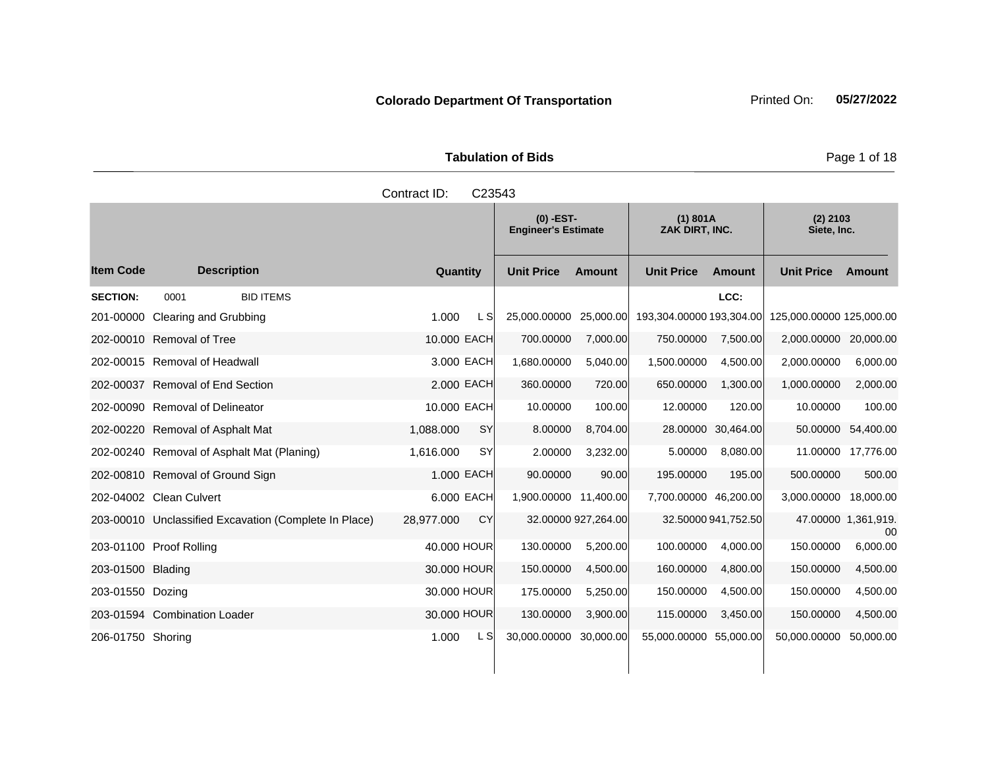Tabulation of Bids **Page 1 of 18** 

|                   |                                                       | Contract ID:           | C23543                                    |                     |                            |                     |                           |                           |
|-------------------|-------------------------------------------------------|------------------------|-------------------------------------------|---------------------|----------------------------|---------------------|---------------------------|---------------------------|
|                   |                                                       |                        | $(0)$ -EST-<br><b>Engineer's Estimate</b> |                     | (1) 801A<br>ZAK DIRT, INC. |                     | $(2)$ 2103<br>Siete, Inc. |                           |
| <b>Item Code</b>  | <b>Description</b>                                    | Quantity               | <b>Unit Price</b>                         | <b>Amount</b>       | <b>Unit Price</b>          | <b>Amount</b>       | <b>Unit Price</b>         | Amount                    |
| <b>SECTION:</b>   | <b>BID ITEMS</b><br>0001                              |                        |                                           |                     |                            | LCC:                |                           |                           |
|                   | 201-00000 Clearing and Grubbing                       | 1.000<br>L SI          | 25,000.00000                              | 25,000.00           | 193,304.00000 193,304.00   |                     | 125,000.00000 125,000.00  |                           |
|                   | 202-00010 Removal of Tree                             | 10.000 EACH            | 700.00000                                 | 7,000.00            | 750.00000                  | 7,500.00            | 2,000.00000               | 20,000.00                 |
|                   | 202-00015 Removal of Headwall                         | 3.000 EACH             | 1,680.00000                               | 5,040.00            | 1,500.00000                | 4,500.00            | 2,000.00000               | 6,000.00                  |
|                   | 202-00037 Removal of End Section                      | 2.000 EACH             | 360.00000                                 | 720.00              | 650.00000                  | 1,300.00            | 1,000.00000               | 2,000.00                  |
|                   | 202-00090 Removal of Delineator                       | 10.000 EACH            | 10.00000                                  | 100.00              | 12.00000                   | 120.00              | 10.00000                  | 100.00                    |
|                   | 202-00220 Removal of Asphalt Mat                      | 1,088.000<br><b>SY</b> | 8.00000                                   | 8,704.00            |                            | 28.00000 30,464.00  | 50.00000                  | 54,400.00                 |
|                   | 202-00240 Removal of Asphalt Mat (Planing)            | 1,616.000<br><b>SY</b> | 2.00000                                   | 3,232.00            | 5.00000                    | 8,080.00            | 11.00000                  | 17,776.00                 |
|                   | 202-00810 Removal of Ground Sign                      | 1.000 EACH             | 90.00000                                  | 90.00               | 195.00000                  | 195.00              | 500.00000                 | 500.00                    |
|                   | 202-04002 Clean Culvert                               | 6.000 EACH             | 1,900.00000 11,400.00                     |                     | 7,700.00000 46,200.00      |                     | 3,000.00000               | 18,000.00                 |
|                   | 203-00010 Unclassified Excavation (Complete In Place) | CY<br>28,977.000       |                                           | 32.00000 927,264.00 |                            | 32.50000 941,752.50 |                           | 47.00000 1,361,919.<br>00 |
|                   | 203-01100 Proof Rolling                               | 40,000 HOUR            | 130.00000                                 | 5,200.00            | 100.00000                  | 4,000.00            | 150.00000                 | 6,000.00                  |
| 203-01500 Blading |                                                       | 30,000 HOUR            | 150.00000                                 | 4,500.00            | 160.00000                  | 4,800.00            | 150.00000                 | 4,500.00                  |
| 203-01550 Dozing  |                                                       | 30.000 HOUR            | 175.00000                                 | 5,250.00            | 150.00000                  | 4,500.00            | 150.00000                 | 4,500.00                  |
|                   | 203-01594 Combination Loader                          | 30.000 HOUR            | 130.00000                                 | 3,900.00            | 115.00000                  | 3,450.00            | 150.00000                 | 4,500.00                  |
| 206-01750 Shoring |                                                       | 1.000<br>L SI          | 30,000.00000                              | 30,000.00           | 55,000.00000 55,000.00     |                     | 50,000.00000              | 50,000.00                 |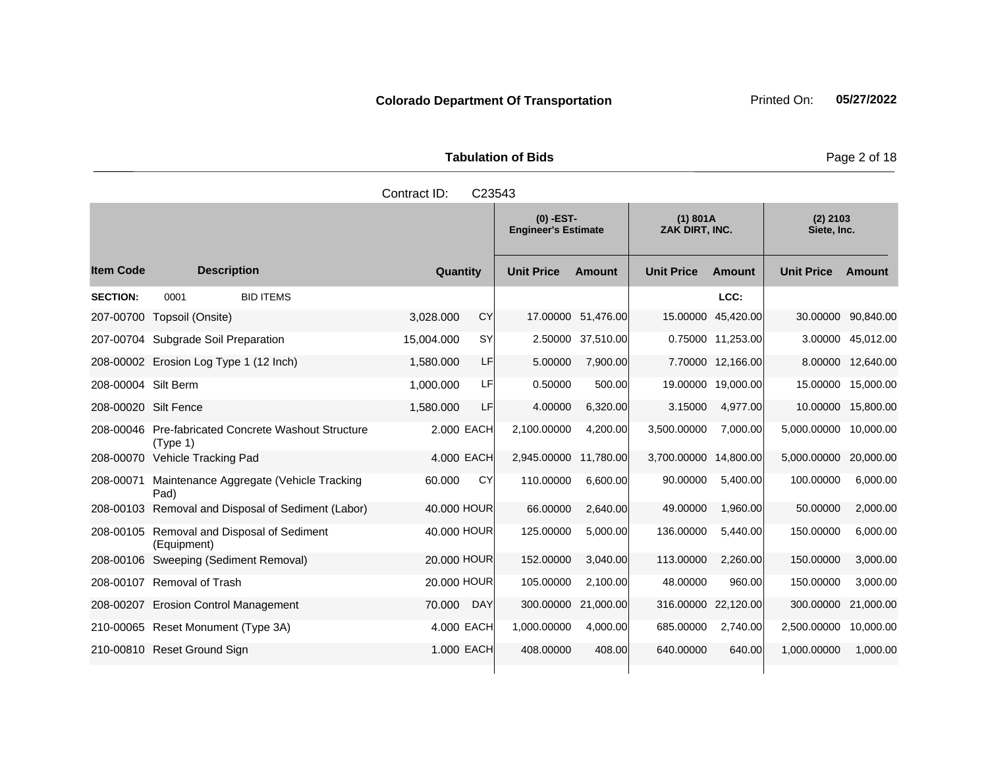Tabulation of Bids **Page 2 of 18** 

|                      |                                                                 | Contract ID: | C23543     |                                           |                    |                            |                   |                           |                   |
|----------------------|-----------------------------------------------------------------|--------------|------------|-------------------------------------------|--------------------|----------------------------|-------------------|---------------------------|-------------------|
|                      |                                                                 |              |            | $(0)$ -EST-<br><b>Engineer's Estimate</b> |                    | (1) 801A<br>ZAK DIRT, INC. |                   | $(2)$ 2103<br>Siete, Inc. |                   |
| <b>Item Code</b>     | <b>Description</b>                                              | Quantity     |            | <b>Unit Price</b>                         | <b>Amount</b>      | <b>Unit Price</b>          | <b>Amount</b>     | <b>Unit Price</b>         | <b>Amount</b>     |
| <b>SECTION:</b>      | <b>BID ITEMS</b><br>0001                                        |              |            |                                           |                    |                            | LCC:              |                           |                   |
| 207-00700            | Topsoil (Onsite)                                                | 3.028.000    | CY         |                                           | 17.00000 51,476.00 | 15.00000                   | 45,420.00         | 30.00000                  | 90,840.00         |
|                      | 207-00704 Subgrade Soil Preparation                             | 15,004.000   | <b>SY</b>  | 2.50000                                   | 37,510.00          |                            | 0.75000 11,253.00 |                           | 3.00000 45,012.00 |
|                      | 208-00002 Erosion Log Type 1 (12 Inch)                          | 1,580.000    | LF         | 5.00000                                   | 7,900.00           |                            | 7.70000 12,166.00 |                           | 8.00000 12,640.00 |
| 208-00004 Silt Berm  |                                                                 | 1,000.000    | LF         | 0.50000                                   | 500.00             | 19.00000                   | 19,000.00         | 15.00000                  | 15,000.00         |
| 208-00020 Silt Fence |                                                                 | 1,580.000    | LF         | 4.00000                                   | 6,320.00           | 3.15000                    | 4,977.00          | 10.00000                  | 15,800.00         |
|                      | 208-00046 Pre-fabricated Concrete Washout Structure<br>(Type 1) | 2.000 EACH   |            | 2,100.00000                               | 4,200.00           | 3,500.00000                | 7,000.00          | 5,000.00000               | 10,000.00         |
|                      | 208-00070 Vehicle Tracking Pad                                  | 4.000 EACH   |            | 2,945.00000                               | 11,780.00          | 3,700.00000                | 14,800.00         | 5,000.00000               | 20,000.00         |
| 208-00071            | Maintenance Aggregate (Vehicle Tracking<br>Pad)                 | 60.000       | CY         | 110.00000                                 | 6,600.00           | 90.00000                   | 5,400.00          | 100.00000                 | 6,000.00          |
|                      | 208-00103 Removal and Disposal of Sediment (Labor)              | 40.000 HOUR  |            | 66.00000                                  | 2,640.00           | 49.00000                   | 1,960.00          | 50.00000                  | 2,000.00          |
|                      | 208-00105 Removal and Disposal of Sediment<br>(Equipment)       | 40.000 HOUR  |            | 125.00000                                 | 5,000.00           | 136.00000                  | 5,440.00          | 150.00000                 | 6,000.00          |
|                      | 208-00106 Sweeping (Sediment Removal)                           | 20.000 HOUR  |            | 152.00000                                 | 3,040.00           | 113.00000                  | 2,260.00          | 150.00000                 | 3,000.00          |
|                      | 208-00107 Removal of Trash                                      | 20,000 HOUR  |            | 105.00000                                 | 2.100.00           | 48.00000                   | 960.00            | 150.00000                 | 3,000.00          |
|                      | 208-00207 Erosion Control Management                            | 70.000       | <b>DAY</b> | 300.00000                                 | 21,000.00          | 316.00000                  | 22,120.00         | 300.00000                 | 21,000.00         |
|                      | 210-00065 Reset Monument (Type 3A)                              | 4.000 EACH   |            | 1,000.00000                               | 4,000.00           | 685.00000                  | 2,740.00          | 2,500.00000               | 10,000.00         |
|                      | 210-00810 Reset Ground Sign                                     | 1.000 EACH   |            | 408.00000                                 | 408.00             | 640.00000                  | 640.00            | 1,000.00000               | 1,000.00          |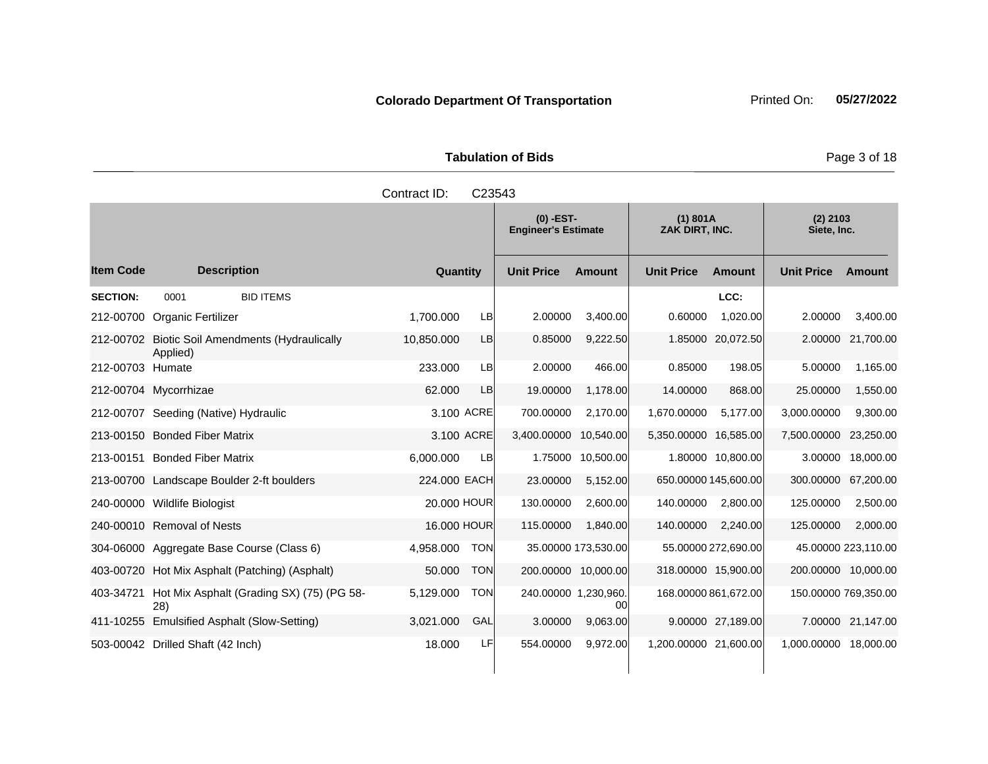|                  |                                                             | Contract ID: | C23543     |                                           |                     |                            |                     |                           |                     |
|------------------|-------------------------------------------------------------|--------------|------------|-------------------------------------------|---------------------|----------------------------|---------------------|---------------------------|---------------------|
|                  |                                                             |              |            | $(0)$ -EST-<br><b>Engineer's Estimate</b> |                     | (1) 801A<br>ZAK DIRT, INC. |                     | $(2)$ 2103<br>Siete, Inc. |                     |
| ltem Code        | <b>Description</b>                                          | Quantity     |            | <b>Unit Price</b>                         | Amount              | <b>Unit Price</b>          | Amount              | <b>Unit Price</b>         | <b>Amount</b>       |
| <b>SECTION:</b>  | <b>BID ITEMS</b><br>0001                                    |              |            |                                           |                     |                            | LCC:                |                           |                     |
|                  | 212-00700 Organic Fertilizer                                | 1,700.000    | LB         | 2.00000                                   | 3,400.00            | 0.60000                    | 1,020.00            | 2.00000                   | 3,400.00            |
|                  | 212-00702 Biotic Soil Amendments (Hydraulically<br>Applied) | 10,850.000   | <b>LB</b>  | 0.85000                                   | 9,222.50            |                            | 1.85000 20,072.50   | 2.00000                   | 21,700.00           |
| 212-00703 Humate |                                                             | 233.000      | LB         | 2.00000                                   | 466.00              | 0.85000                    | 198.05              | 5.00000                   | 1,165.00            |
|                  | 212-00704 Mycorrhizae                                       | 62,000       | LB         | 19.00000                                  | 1,178.00            | 14.00000                   | 868.00              | 25.00000                  | 1,550.00            |
|                  | 212-00707 Seeding (Native) Hydraulic                        | 3.100 ACRE   |            | 700.00000                                 | 2,170.00            | 1,670.00000                | 5,177.00            | 3,000.00000               | 9,300.00            |
|                  | 213-00150 Bonded Fiber Matrix                               | 3.100 ACRE   |            | 3,400.00000                               | 10,540.00           | 5,350.00000 16,585.00      |                     | 7,500.00000               | 23,250.00           |
|                  | 213-00151 Bonded Fiber Matrix                               | 6,000.000    | LB         | 1.75000                                   | 10,500.00           |                            | 1.80000 10,800.00   | 3.00000                   | 18,000.00           |
|                  | 213-00700 Landscape Boulder 2-ft boulders                   | 224,000 EACH |            | 23.00000                                  | 5,152.00            | 650.00000 145,600.00       |                     | 300.00000                 | 67,200.00           |
|                  | 240-00000 Wildlife Biologist                                | 20,000 HOUR  |            | 130.00000                                 | 2,600.00            | 140.00000                  | 2,800.00            | 125.00000                 | 2,500.00            |
|                  | 240-00010 Removal of Nests                                  | 16,000 HOUR  |            | 115.00000                                 | 1,840.00            | 140.00000                  | 2,240.00            | 125.00000                 | 2,000.00            |
|                  | 304-06000 Aggregate Base Course (Class 6)                   | 4,958.000    | <b>TON</b> |                                           | 35.00000 173,530.00 |                            | 55.00000 272,690.00 |                           | 45.00000 223,110.00 |
|                  | 403-00720 Hot Mix Asphalt (Patching) (Asphalt)              | 50.000       | <b>TON</b> |                                           | 200.00000 10,000.00 | 318.00000 15,900.00        |                     | 200.00000                 | 10,000.00           |
| 403-34721        | Hot Mix Asphalt (Grading SX) (75) (PG 58-<br>28)            | 5,129.000    | <b>TON</b> | 240.00000 1,230,960.                      | 00                  | 168.00000 861,672.00       |                     | 150.00000 769,350.00      |                     |

411-10255 Emulsified Asphalt (Slow-Setting) 3,021.000 GAL 3.00000 9,063.00 9.00000 27,189.00 7.00000 21,147.00 503-00042 Drilled Shaft (42 Inch) 18.000 LF 554.00000 9,972.00 1,200.00000 21,600.00 1,000.00000 18,000.00

**Tabulation of Bids Page 3 of 18**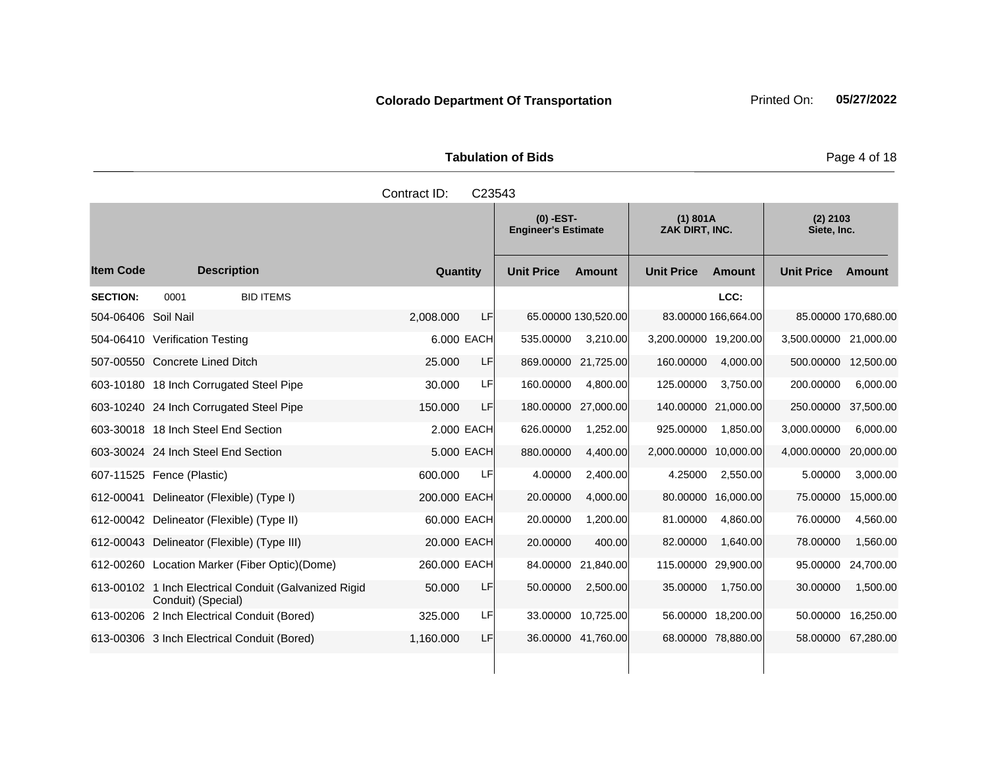Tabulation of Bids **Page 4 of 18** 

|                     |                                                                             | Contract ID: | C23543     |                                           |                     |                            |                     |                           |                     |
|---------------------|-----------------------------------------------------------------------------|--------------|------------|-------------------------------------------|---------------------|----------------------------|---------------------|---------------------------|---------------------|
|                     |                                                                             |              |            | $(0)$ -EST-<br><b>Engineer's Estimate</b> |                     | (1) 801A<br>ZAK DIRT. INC. |                     | $(2)$ 2103<br>Siete, Inc. |                     |
| <b>Item Code</b>    | <b>Description</b>                                                          | Quantity     |            | <b>Unit Price</b>                         | Amount              | <b>Unit Price</b>          | <b>Amount</b>       | <b>Unit Price</b>         | Amount              |
| <b>SECTION:</b>     | 0001<br><b>BID ITEMS</b>                                                    |              |            |                                           |                     |                            | LCC:                |                           |                     |
| 504-06406 Soil Nail |                                                                             | 2,008.000    | LF         |                                           | 65.00000 130,520.00 |                            | 83.00000 166,664.00 |                           | 85.00000 170,680.00 |
|                     | 504-06410 Verification Testing                                              |              | 6.000 EACH | 535.00000                                 | 3,210.00            | 3,200.00000 19,200.00      |                     | 3,500.00000 21,000.00     |                     |
|                     | 507-00550 Concrete Lined Ditch                                              | 25.000       | LF         | 869.00000                                 | 21,725.00           | 160.00000                  | 4,000.00            | 500.00000                 | 12,500.00           |
|                     | 603-10180 18 Inch Corrugated Steel Pipe                                     | 30.000       | LF         | 160.00000                                 | 4,800.00            | 125.00000                  | 3,750.00            | 200.00000                 | 6,000.00            |
|                     | 603-10240 24 Inch Corrugated Steel Pipe                                     | 150,000      | LF         | 180.00000                                 | 27,000.00           |                            | 140.00000 21,000.00 | 250.00000                 | 37,500.00           |
|                     | 603-30018 18 Inch Steel End Section                                         |              | 2.000 EACH | 626.00000                                 | 1,252.00            | 925.00000                  | 1,850.00            | 3,000.00000               | 6,000.00            |
|                     | 603-30024 24 Inch Steel End Section                                         |              | 5,000 EACH | 880.00000                                 | 4,400.00            | 2,000.00000 10,000.00      |                     | 4,000.00000               | 20,000.00           |
|                     | 607-11525 Fence (Plastic)                                                   | 600.000      | LF         | 4.00000                                   | 2,400.00            | 4.25000                    | 2,550.00            | 5.00000                   | 3,000.00            |
|                     | 612-00041 Delineator (Flexible) (Type I)                                    | 200.000 EACH |            | 20.00000                                  | 4,000.00            |                            | 80.00000 16,000.00  | 75.00000                  | 15,000.00           |
|                     | 612-00042 Delineator (Flexible) (Type II)                                   | 60.000 EACH  |            | 20.00000                                  | 1,200.00            | 81.00000                   | 4,860.00            | 76.00000                  | 4,560.00            |
|                     | 612-00043 Delineator (Flexible) (Type III)                                  | 20.000 EACH  |            | 20.00000                                  | 400.00              | 82.00000                   | 1,640.00            | 78.00000                  | 1,560.00            |
|                     | 612-00260 Location Marker (Fiber Optic) (Dome)                              | 260.000 EACH |            | 84.00000                                  | 21,840.00           | 115.00000 29,900.00        |                     | 95.00000                  | 24,700.00           |
|                     | 613-00102 1 Inch Electrical Conduit (Galvanized Rigid<br>Conduit) (Special) | 50.000       | LF         | 50.00000                                  | 2,500.00            | 35.00000                   | 1,750.00            | 30.00000                  | 1,500.00            |
|                     | 613-00206 2 Inch Electrical Conduit (Bored)                                 | 325.000      | LF         |                                           | 33.00000 10,725.00  |                            | 56.00000 18,200.00  | 50.00000                  | 16,250.00           |
|                     | 613-00306 3 Inch Electrical Conduit (Bored)                                 | 1,160.000    | LF         |                                           | 36.00000 41,760.00  |                            | 68.00000 78,880.00  |                           | 58.00000 67,280.00  |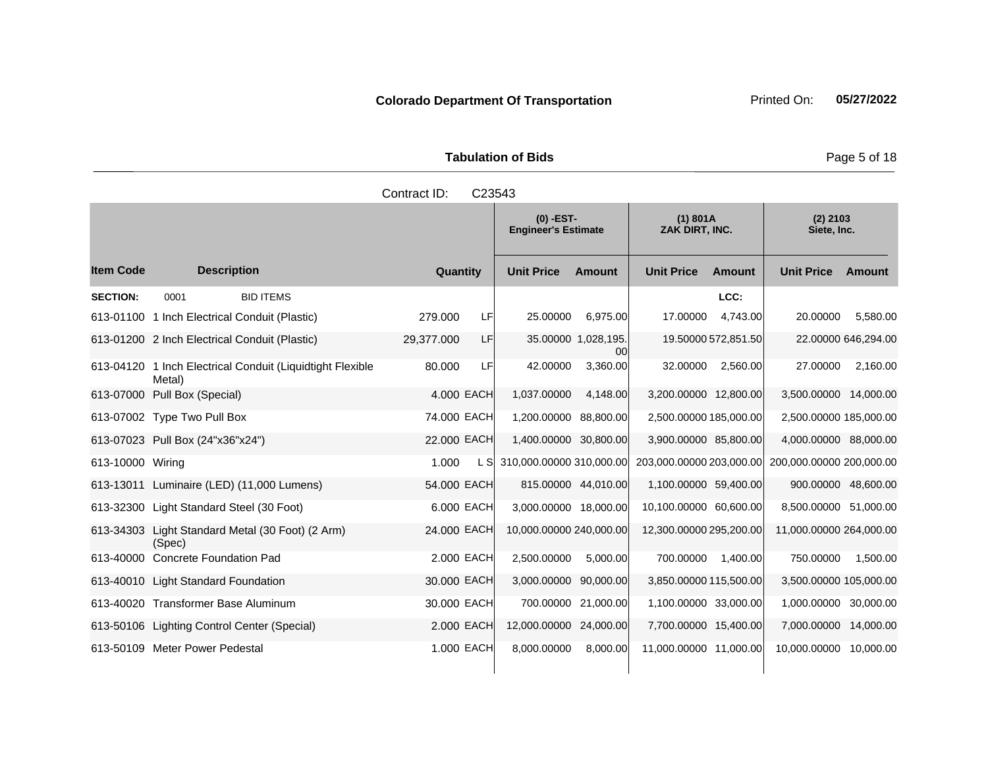Tabulation of Bids **Page 5 of 18** 

|                  |                                                                     | Contract ID:    | C23543     |                                           |                           |                            |                     |                           |                     |
|------------------|---------------------------------------------------------------------|-----------------|------------|-------------------------------------------|---------------------------|----------------------------|---------------------|---------------------------|---------------------|
|                  |                                                                     |                 |            | $(0)$ -EST-<br><b>Engineer's Estimate</b> |                           | (1) 801A<br>ZAK DIRT, INC. |                     | $(2)$ 2103<br>Siete, Inc. |                     |
| <b>Item Code</b> | <b>Description</b>                                                  | <b>Quantity</b> |            | <b>Unit Price</b>                         | <b>Amount</b>             | <b>Unit Price</b>          | <b>Amount</b>       | <b>Unit Price</b>         | <b>Amount</b>       |
| <b>SECTION:</b>  | 0001<br><b>BID ITEMS</b>                                            |                 |            |                                           |                           |                            | LCC:                |                           |                     |
|                  | 613-01100 1 Inch Electrical Conduit (Plastic)                       | 279.000         | LF         | 25.00000                                  | 6,975.00                  | 17.00000                   | 4,743.00            | 20.00000                  | 5,580.00            |
|                  | 613-01200 2 Inch Electrical Conduit (Plastic)                       | 29,377.000      | LF         |                                           | 35.00000 1,028,195.<br>00 |                            | 19.50000 572,851.50 |                           | 22.00000 646,294.00 |
|                  | 613-04120 1 Inch Electrical Conduit (Liquidtight Flexible<br>Metal) | 80.000          | LF         | 42.00000                                  | 3,360.00                  | 32.00000                   | 2,560.00            | 27.00000                  | 2,160.00            |
|                  | 613-07000 Pull Box (Special)                                        |                 | 4.000 EACH | 1,037.00000                               | 4,148.00                  | 3,200.00000 12,800.00      |                     | 3,500.00000 14,000.00     |                     |
|                  | 613-07002 Type Two Pull Box                                         | 74.000 EACH     |            | 1,200.00000                               | 88,800.00                 | 2,500.00000 185,000.00     |                     | 2,500.00000 185,000.00    |                     |
|                  | 613-07023 Pull Box (24"x36"x24")                                    | 22.000 EACH     |            | 1,400.00000 30,800.00                     |                           | 3,900.00000 85,800.00      |                     | 4,000.00000 88,000.00     |                     |
| 613-10000 Wiring |                                                                     | 1.000           | L SI       | 310,000.00000 310,000.00                  |                           | 203,000.00000 203,000.00   |                     | 200,000.00000 200,000.00  |                     |
|                  | 613-13011 Luminaire (LED) (11,000 Lumens)                           | 54.000 EACH     |            |                                           | 815.00000 44,010.00       | 1,100.00000 59,400.00      |                     | 900.00000 48,600.00       |                     |
|                  | 613-32300 Light Standard Steel (30 Foot)                            |                 | 6,000 EACH | 3,000.00000 18,000.00                     |                           | 10.100.00000 60.600.00     |                     | 8,500.00000 51,000.00     |                     |
|                  | 613-34303 Light Standard Metal (30 Foot) (2 Arm)<br>(Spec)          | 24.000 EACH     |            | 10,000.00000 240,000.00                   |                           | 12,300.00000 295,200.00    |                     | 11,000.00000 264,000.00   |                     |
|                  | 613-40000 Concrete Foundation Pad                                   |                 | 2,000 EACH | 2,500.00000                               | 5,000.00                  | 700.00000                  | 1,400.00            | 750.00000                 | 1,500.00            |
|                  | 613-40010 Light Standard Foundation                                 | 30.000 EACH     |            | 3,000.00000 90,000.00                     |                           | 3,850.00000 115,500.00     |                     | 3,500.00000 105,000.00    |                     |
|                  | 613-40020 Transformer Base Aluminum                                 | 30.000 EACH     |            |                                           | 700.00000 21,000.00       | 1,100.00000 33,000.00      |                     | 1,000.00000 30,000.00     |                     |
|                  | 613-50106 Lighting Control Center (Special)                         |                 | 2.000 EACH | 12,000.00000 24,000.00                    |                           | 7,700.00000 15,400.00      |                     | 7,000.00000 14,000.00     |                     |
|                  | 613-50109 Meter Power Pedestal                                      |                 | 1.000 EACH | 8.000.00000                               | 8,000.00                  | 11,000.00000 11,000.00     |                     | 10,000.00000 10,000.00    |                     |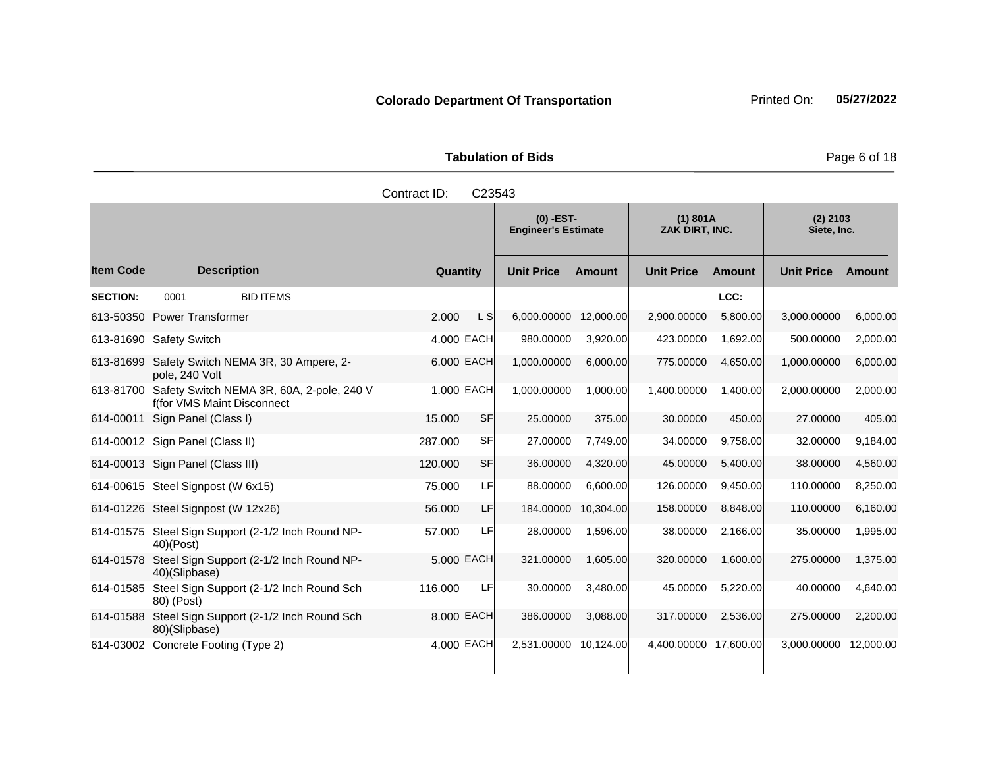Tabulation of Bids **Page 6 of 18** 

|                  |                                                                         | Contract ID:         | C23543                                    |               |                            |               |                           |               |
|------------------|-------------------------------------------------------------------------|----------------------|-------------------------------------------|---------------|----------------------------|---------------|---------------------------|---------------|
|                  |                                                                         |                      | $(0)$ -EST-<br><b>Engineer's Estimate</b> |               | (1) 801A<br>ZAK DIRT, INC. |               | $(2)$ 2103<br>Siete, Inc. |               |
| <b>Item Code</b> | <b>Description</b>                                                      | Quantity             | <b>Unit Price</b>                         | <b>Amount</b> | <b>Unit Price</b>          | <b>Amount</b> | <b>Unit Price</b>         | <b>Amount</b> |
| <b>SECTION:</b>  | <b>BID ITEMS</b><br>0001                                                |                      |                                           |               |                            | LCC:          |                           |               |
|                  | 613-50350 Power Transformer                                             | 2.000<br>L S         | 6,000.00000                               | 12,000.00     | 2,900.00000                | 5,800.00      | 3,000.00000               | 6,000.00      |
|                  | 613-81690 Safety Switch                                                 | 4.000 EACH           | 980.00000                                 | 3,920.00      | 423.00000                  | 1,692.00      | 500.00000                 | 2,000.00      |
| 613-81699        | Safety Switch NEMA 3R, 30 Ampere, 2-<br>pole, 240 Volt                  | 6.000 EACH           | 1,000.00000                               | 6,000.00      | 775.00000                  | 4.650.00      | 1,000.00000               | 6,000.00      |
| 613-81700        | Safety Switch NEMA 3R, 60A, 2-pole, 240 V<br>f(for VMS Maint Disconnect | 1.000 EACH           | 1,000.00000                               | 1,000.00      | 1,400.00000                | 1,400.00      | 2,000.00000               | 2,000.00      |
|                  | 614-00011 Sign Panel (Class I)                                          | 15.000<br>SF         | 25.00000                                  | 375.00        | 30.00000                   | 450.00        | 27.00000                  | 405.00        |
|                  | 614-00012 Sign Panel (Class II)                                         | SF<br>287.000        | 27.00000                                  | 7,749.00      | 34.00000                   | 9,758.00      | 32.00000                  | 9,184.00      |
|                  | 614-00013 Sign Panel (Class III)                                        | <b>SF</b><br>120,000 | 36.00000                                  | 4,320.00      | 45.00000                   | 5,400.00      | 38.00000                  | 4,560.00      |
|                  | 614-00615 Steel Signpost (W 6x15)                                       | 75.000<br>LFI        | 88.00000                                  | 6,600.00      | 126.00000                  | 9,450.00      | 110.00000                 | 8,250.00      |
|                  | 614-01226 Steel Signpost (W 12x26)                                      | 56.000               | LF<br>184.00000                           | 10,304.00     | 158.00000                  | 8.848.00      | 110.00000                 | 6,160.00      |
|                  | 614-01575 Steel Sign Support (2-1/2 Inch Round NP-<br>$40$ )(Post)      | LFI<br>57.000        | 28.00000                                  | 1,596.00      | 38.00000                   | 2,166.00      | 35.00000                  | 1,995.00      |
| 614-01578        | Steel Sign Support (2-1/2 Inch Round NP-<br>40)(Slipbase)               | 5.000 EACH           | 321.00000                                 | 1.605.00      | 320,00000                  | 1.600.00      | 275.00000                 | 1,375.00      |
| 614-01585        | Steel Sign Support (2-1/2 Inch Round Sch<br>80) (Post)                  | LF<br>116.000        | 30.00000                                  | 3,480.00      | 45.00000                   | 5,220.00      | 40.00000                  | 4,640.00      |
| 614-01588        | Steel Sign Support (2-1/2 Inch Round Sch<br>80)(Slipbase)               | 8.000 EACH           | 386.00000                                 | 3,088.00      | 317.00000                  | 2,536.00      | 275.00000                 | 2,200.00      |
| 614-03002        | Concrete Footing (Type 2)                                               | 4.000 EACH           | 2,531.00000 10,124.00                     |               | 4,400.00000 17,600.00      |               | 3,000.00000               | 12,000.00     |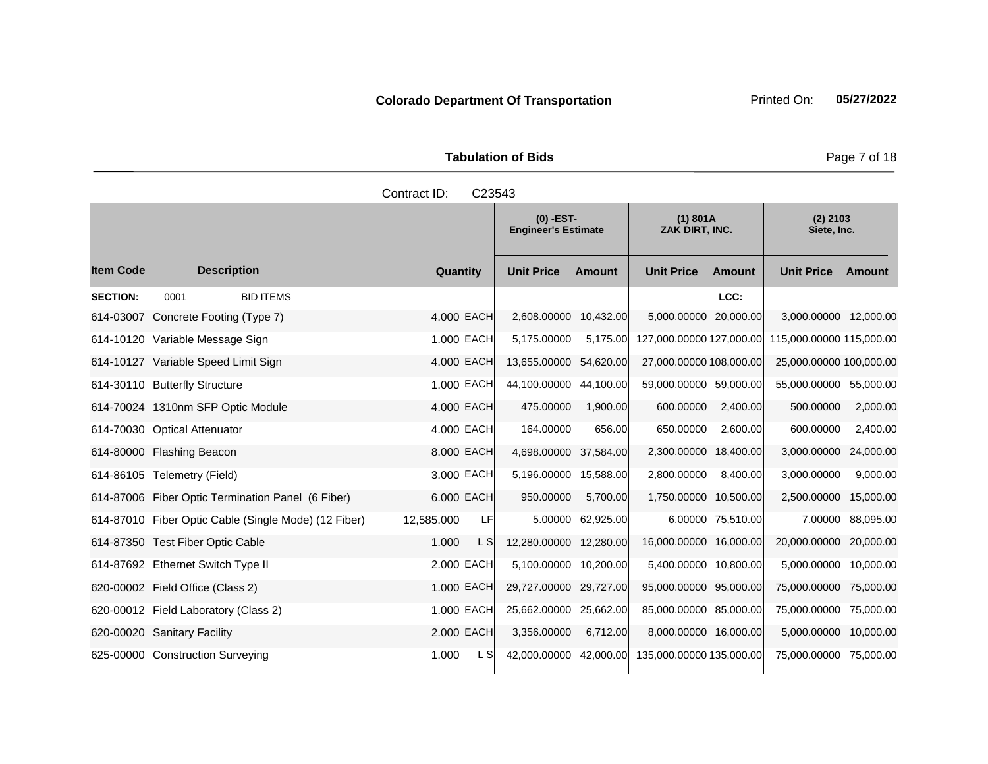Tabulation of Bids **Page 7 of 18** 

|                  |                                                      | Contract ID:<br>C23543 |                                           |               |                            |                   |                                                   |                   |
|------------------|------------------------------------------------------|------------------------|-------------------------------------------|---------------|----------------------------|-------------------|---------------------------------------------------|-------------------|
|                  |                                                      |                        | $(0)$ -EST-<br><b>Engineer's Estimate</b> |               | (1) 801A<br>ZAK DIRT, INC. |                   | $(2)$ 2103<br>Siete, Inc.                         |                   |
| <b>Item Code</b> | <b>Description</b>                                   | <b>Quantity</b>        | <b>Unit Price</b>                         | <b>Amount</b> | <b>Unit Price</b>          | <b>Amount</b>     | <b>Unit Price</b>                                 | <b>Amount</b>     |
| <b>SECTION:</b>  | <b>BID ITEMS</b><br>0001                             |                        |                                           |               |                            | LCC:              |                                                   |                   |
|                  | 614-03007 Concrete Footing (Type 7)                  | 4.000 EACH             | 2,608.00000 10,432.00                     |               | 5,000.00000                | 20,000.00         | 3,000.00000 12,000.00                             |                   |
|                  | 614-10120 Variable Message Sign                      | 1.000 EACH             | 5,175,00000                               | 5,175.00      |                            |                   | 127,000.00000 127,000.00 115,000.00000 115,000.00 |                   |
|                  | 614-10127 Variable Speed Limit Sign                  | 4.000 EACH             | 13,655.00000 54,620.00                    |               | 27,000.00000 108,000.00    |                   | 25,000.00000 100,000.00                           |                   |
|                  | 614-30110 Butterfly Structure                        | 1.000 EACH             | 44,100.00000 44,100.00                    |               | 59,000.00000 59,000.00     |                   | 55,000.00000 55,000.00                            |                   |
|                  | 614-70024 1310nm SFP Optic Module                    | 4.000 EACH             | 475.00000                                 | 1,900.00      | 600.00000                  | 2,400.00          | 500.00000                                         | 2,000.00          |
|                  | 614-70030 Optical Attenuator                         | 4.000 EACH             | 164.00000                                 | 656.00        | 650.00000                  | 2,600.00          | 600.00000                                         | 2,400.00          |
|                  | 614-80000 Flashing Beacon                            | 8.000 EACH             | 4,698,00000 37,584.00                     |               | 2,300.00000 18,400.00      |                   | 3,000.00000                                       | 24,000.00         |
|                  | 614-86105 Telemetry (Field)                          | 3.000 EACH             | 5,196.00000 15,588.00                     |               | 2,800.00000                | 8,400.00          | 3,000.00000                                       | 9,000.00          |
|                  | 614-87006 Fiber Optic Termination Panel (6 Fiber)    | 6,000 EACH             | 950.00000                                 | 5,700.00      | 1,750.00000 10,500.00      |                   | 2,500.00000                                       | 15,000.00         |
|                  | 614-87010 Fiber Optic Cable (Single Mode) (12 Fiber) | 12,585.000<br>LFI      | 5.00000                                   | 62,925.00     |                            | 6.00000 75,510.00 |                                                   | 7.00000 88,095.00 |
|                  | 614-87350 Test Fiber Optic Cable                     | 1.000<br>L S           | 12,280.00000 12,280.00                    |               | 16,000.00000 16,000.00     |                   | 20,000.00000 20,000.00                            |                   |
|                  | 614-87692 Ethernet Switch Type II                    | 2.000 EACH             | 5,100.00000 10,200.00                     |               | 5,400.00000 10,800.00      |                   | 5,000.00000 10,000.00                             |                   |
|                  | 620-00002 Field Office (Class 2)                     | 1.000 EACH             | 29,727.00000 29,727.00                    |               | 95,000.00000 95,000.00     |                   | 75,000.00000 75,000.00                            |                   |
|                  | 620-00012 Field Laboratory (Class 2)                 | 1.000 EACH             | 25,662.00000 25,662.00                    |               | 85,000.00000 85,000.00     |                   | 75,000.00000 75,000.00                            |                   |
|                  | 620-00020 Sanitary Facility                          | 2.000 EACH             | 3,356.00000                               | 6,712.00      | 8,000.00000 16,000.00      |                   | 5,000.00000 10,000.00                             |                   |
|                  | 625-00000 Construction Surveying                     | 1.000<br>L SI          | 42,000.00000 42,000.00                    |               | 135,000.00000 135,000.00   |                   | 75,000.00000 75,000.00                            |                   |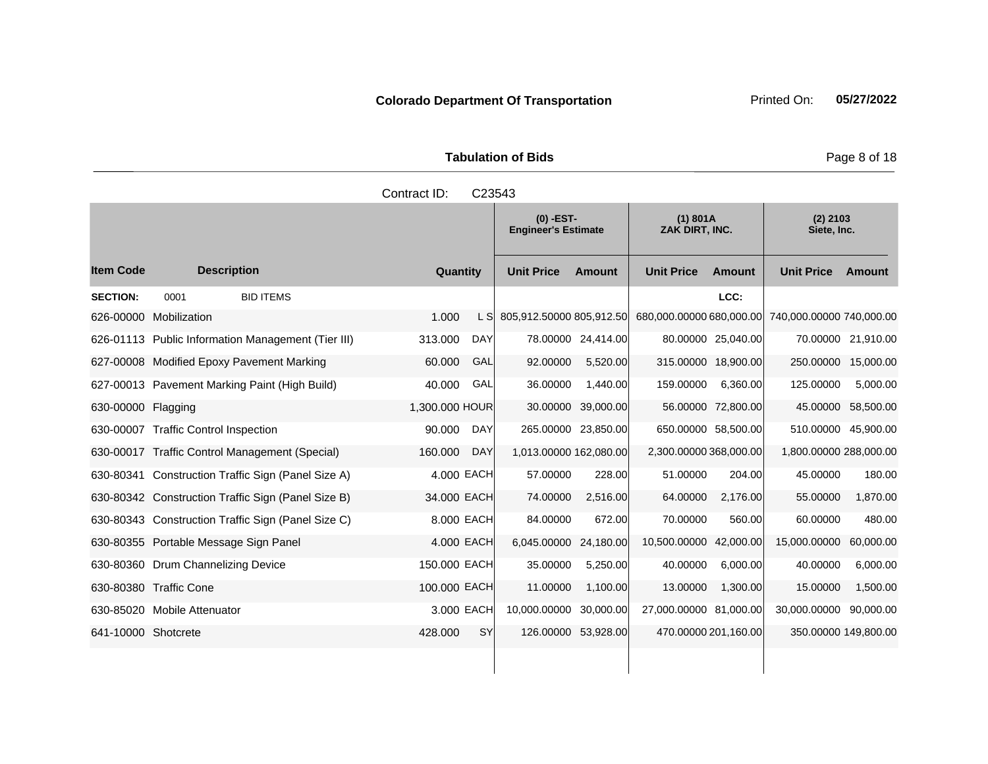Tabulation of Bids **Page 8 of 18** 

|                     |                                                    | Contract ID:   | C23543     |                                           |                     |                            |                      |                           |                      |
|---------------------|----------------------------------------------------|----------------|------------|-------------------------------------------|---------------------|----------------------------|----------------------|---------------------------|----------------------|
|                     |                                                    |                |            | $(0)$ -EST-<br><b>Engineer's Estimate</b> |                     | (1) 801A<br>ZAK DIRT, INC. |                      | $(2)$ 2103<br>Siete, Inc. |                      |
| <b>Item Code</b>    | <b>Description</b>                                 | Quantity       |            | <b>Unit Price</b>                         | <b>Amount</b>       | <b>Unit Price</b>          | <b>Amount</b>        | <b>Unit Price</b>         | Amount               |
| <b>SECTION:</b>     | <b>BID ITEMS</b><br>0001                           |                |            |                                           |                     |                            | LCC:                 |                           |                      |
| 626-00000           | Mobilization                                       | 1.000          | L S        | 805,912.50000 805,912.50                  |                     | 680,000.00000 680,000.00   |                      | 740,000.00000 740,000.00  |                      |
|                     | 626-01113 Public Information Management (Tier III) | 313.000        | <b>DAY</b> |                                           | 78.00000 24,414.00  |                            | 80.00000 25,040.00   |                           | 70.00000 21,910.00   |
|                     | 627-00008 Modified Epoxy Pavement Marking          | 60,000         | GAL        | 92.00000                                  | 5,520.00            |                            | 315.00000 18,900.00  | 250.00000                 | 15,000.00            |
|                     | 627-00013 Pavement Marking Paint (High Build)      | 40.000         | GAL        | 36.00000                                  | 1,440.00            | 159.00000                  | 6,360.00             | 125.00000                 | 5,000.00             |
| 630-00000 Flagging  |                                                    | 1,300.000 HOUR |            | 30.00000                                  | 39,000.00           |                            | 56.00000 72,800.00   | 45.00000                  | 58,500.00            |
|                     | 630-00007 Traffic Control Inspection               | 90.000         | DAY        |                                           | 265.00000 23,850.00 |                            | 650.00000 58,500.00  |                           | 510.00000 45,900.00  |
|                     | 630-00017 Traffic Control Management (Special)     | 160.000        | <b>DAY</b> | 1,013.00000 162,080.00                    |                     | 2,300.00000 368,000.00     |                      | 1,800.00000 288,000.00    |                      |
|                     | 630-80341 Construction Traffic Sign (Panel Size A) | 4.000 EACH     |            | 57.00000                                  | 228.00              | 51.00000                   | 204.00               | 45.00000                  | 180.00               |
|                     | 630-80342 Construction Traffic Sign (Panel Size B) | 34.000 EACH    |            | 74.00000                                  | 2,516.00            | 64.00000                   | 2,176.00             | 55.00000                  | 1,870.00             |
|                     | 630-80343 Construction Traffic Sign (Panel Size C) |                | 8.000 EACH | 84.00000                                  | 672.00              | 70.00000                   | 560.00               | 60.00000                  | 480.00               |
|                     | 630-80355 Portable Message Sign Panel              | 4.000 EACH     |            | 6,045.00000                               | 24,180.00           | 10.500.00000 42,000.00     |                      | 15,000.00000              | 60,000.00            |
|                     | 630-80360 Drum Channelizing Device                 | 150.000 EACH   |            | 35.00000                                  | 5,250.00            | 40.00000                   | 6,000.00             | 40.00000                  | 6,000.00             |
|                     | 630-80380 Traffic Cone                             | 100.000 EACH   |            | 11.00000                                  | 1,100.00            | 13.00000                   | 1,300.00             | 15.00000                  | 1,500.00             |
|                     | 630-85020 Mobile Attenuator                        |                | 3,000 EACH | 10,000.00000 30,000.00                    |                     | 27,000.00000 81,000.00     |                      | 30,000.00000 90,000.00    |                      |
| 641-10000 Shotcrete |                                                    | 428.000        | <b>SY</b>  |                                           | 126.00000 53,928.00 |                            | 470.00000 201,160.00 |                           | 350.00000 149,800.00 |
|                     |                                                    |                |            |                                           |                     |                            |                      |                           |                      |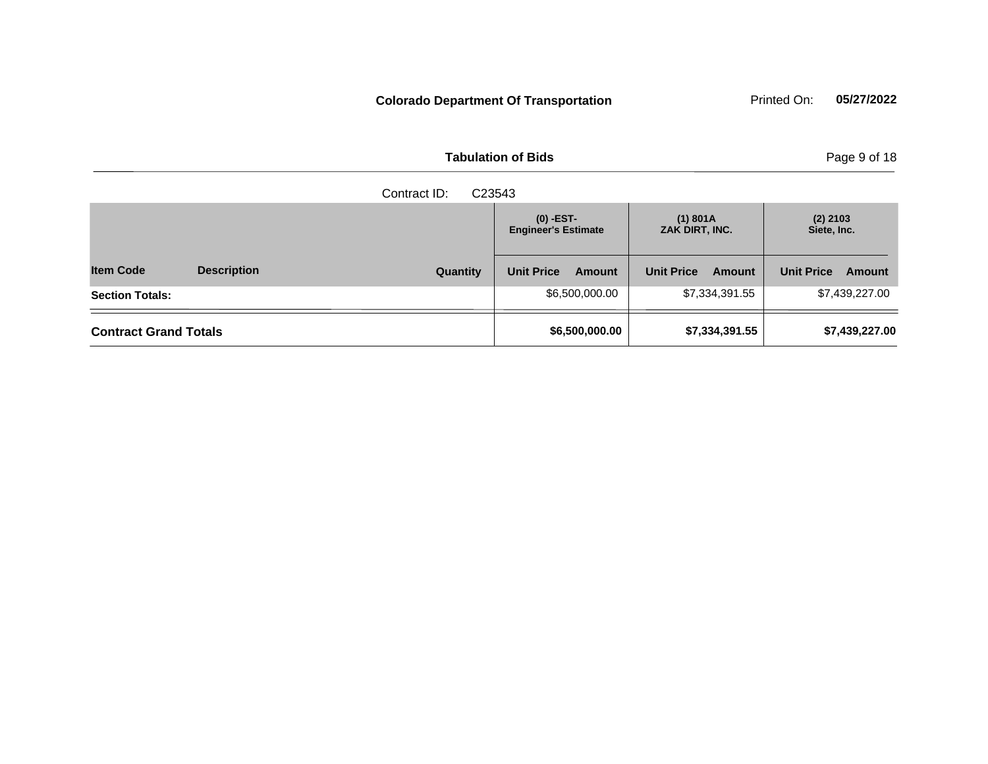**Tabulation of Bids** 

| Page 9 of 18 |  |  |  |  |
|--------------|--|--|--|--|
|--------------|--|--|--|--|

|                              | Contract ID:<br>C23543 |          |                                           |                |                            |                |                           |                |  |
|------------------------------|------------------------|----------|-------------------------------------------|----------------|----------------------------|----------------|---------------------------|----------------|--|
|                              |                        |          | $(0)$ -EST-<br><b>Engineer's Estimate</b> |                | (1) 801A<br>ZAK DIRT, INC. |                | $(2)$ 2103<br>Siete, Inc. |                |  |
| <b>Item Code</b>             | <b>Description</b>     | Quantity | <b>Unit Price</b>                         | <b>Amount</b>  | <b>Unit Price</b>          | <b>Amount</b>  | <b>Unit Price</b>         | Amount         |  |
| <b>Section Totals:</b>       |                        |          |                                           | \$6,500,000.00 |                            | \$7,334,391.55 |                           | \$7,439,227.00 |  |
| <b>Contract Grand Totals</b> |                        |          | \$6,500,000.00                            |                | \$7,334,391.55             |                | \$7,439,227.00            |                |  |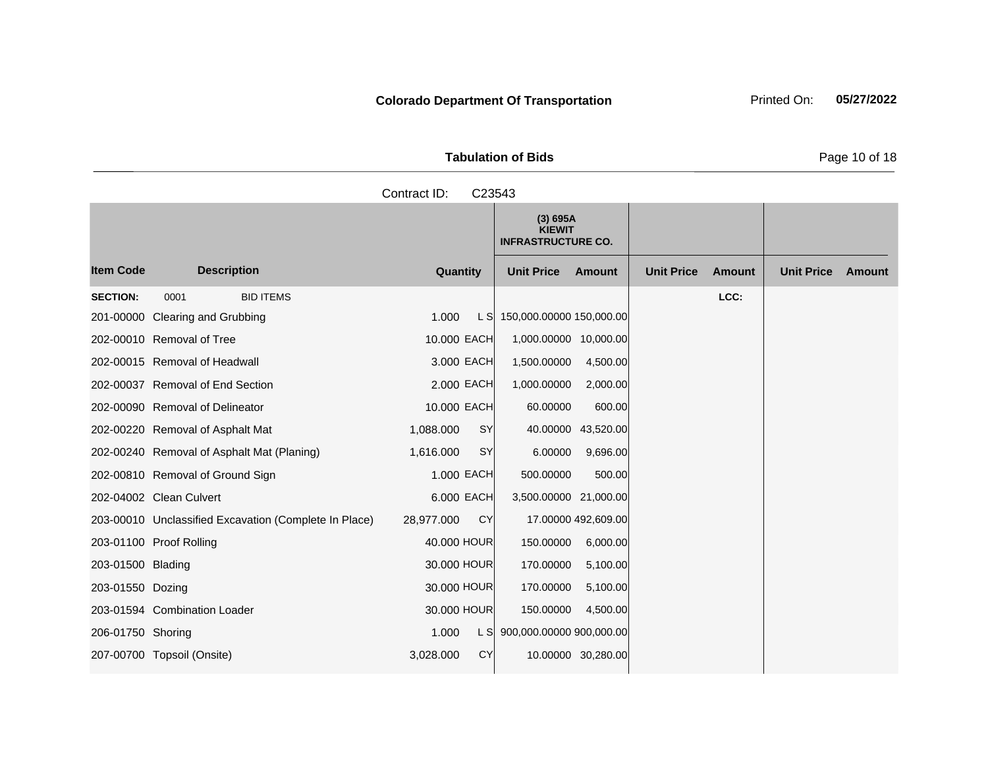Tabulation of Bids **Page 10 of 18** 

|                   |                                                       | Contract ID:<br>C23543  |                                                        |          |                   |               |                   |        |
|-------------------|-------------------------------------------------------|-------------------------|--------------------------------------------------------|----------|-------------------|---------------|-------------------|--------|
|                   |                                                       |                         | (3) 695A<br><b>KIEWIT</b><br><b>INFRASTRUCTURE CO.</b> |          |                   |               |                   |        |
| <b>Item Code</b>  | <b>Description</b>                                    | Quantity                | <b>Unit Price</b>                                      | Amount   | <b>Unit Price</b> | <b>Amount</b> | <b>Unit Price</b> | Amount |
| <b>SECTION:</b>   | <b>BID ITEMS</b><br>0001                              |                         |                                                        |          |                   | LCC:          |                   |        |
|                   | 201-00000 Clearing and Grubbing                       | 1.000<br>L SI           | 150,000.00000 150,000.00                               |          |                   |               |                   |        |
|                   | 202-00010 Removal of Tree                             | 10.000 EACH             | 1,000.00000 10,000.00                                  |          |                   |               |                   |        |
|                   | 202-00015 Removal of Headwall                         | 3.000 EACH              | 1,500.00000                                            | 4,500.00 |                   |               |                   |        |
|                   | 202-00037 Removal of End Section                      | 2,000 EACH              | 1,000.00000                                            | 2,000.00 |                   |               |                   |        |
|                   | 202-00090 Removal of Delineator                       | 10.000 EACH             | 60.00000                                               | 600.00   |                   |               |                   |        |
|                   | 202-00220 Removal of Asphalt Mat                      | 1,088.000<br><b>SY</b>  | 40.00000 43,520.00                                     |          |                   |               |                   |        |
|                   | 202-00240 Removal of Asphalt Mat (Planing)            | <b>SY</b><br>1,616.000  | 6.00000                                                | 9,696.00 |                   |               |                   |        |
|                   | 202-00810 Removal of Ground Sign                      | 1.000 EACH              | 500.00000                                              | 500.00   |                   |               |                   |        |
|                   | 202-04002 Clean Culvert                               | 6.000 EACH              | 3,500.00000 21,000.00                                  |          |                   |               |                   |        |
|                   | 203-00010 Unclassified Excavation (Complete In Place) | <b>CY</b><br>28,977.000 | 17.00000 492,609.00                                    |          |                   |               |                   |        |
|                   | 203-01100 Proof Rolling                               | 40.000 HOUR             | 150.00000                                              | 6,000.00 |                   |               |                   |        |
| 203-01500 Blading |                                                       | 30.000 HOUR             | 170.00000                                              | 5,100.00 |                   |               |                   |        |
| 203-01550 Dozing  |                                                       | 30,000 HOUR             | 170.00000                                              | 5,100.00 |                   |               |                   |        |
|                   | 203-01594 Combination Loader                          | 30.000 HOUR             | 150.00000                                              | 4,500.00 |                   |               |                   |        |
| 206-01750 Shoring |                                                       | 1.000                   | L S 900,000.00000 900,000.00                           |          |                   |               |                   |        |
|                   | 207-00700 Topsoil (Onsite)                            | 3.028.000<br><b>CY</b>  | 10.00000 30,280.00                                     |          |                   |               |                   |        |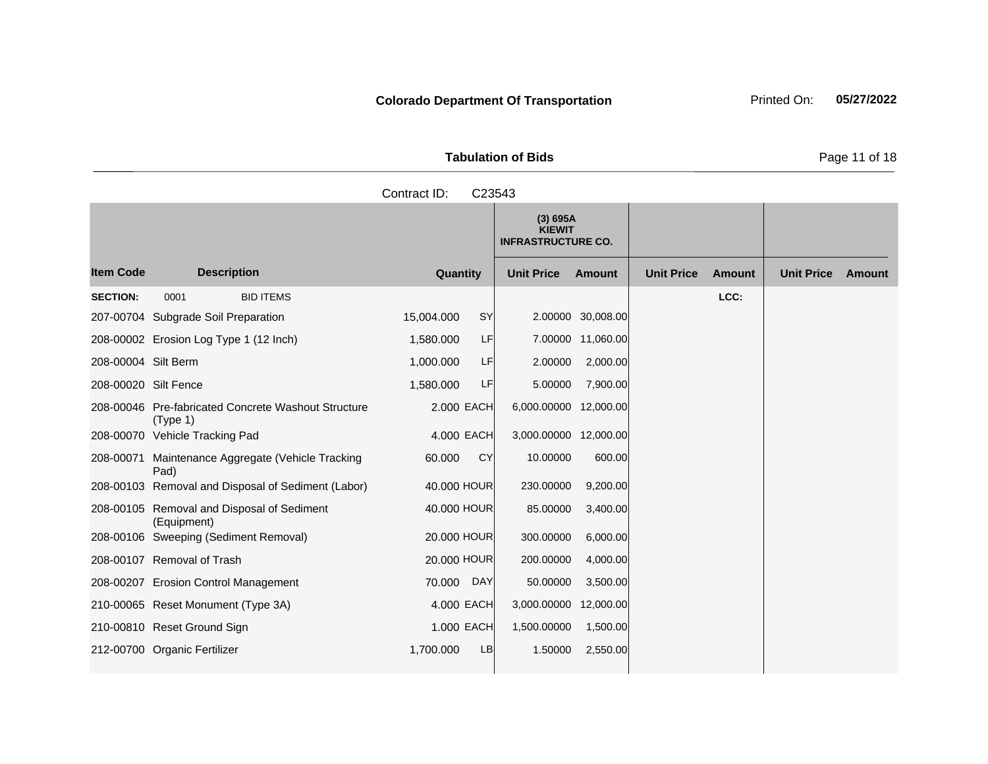**Tabulation of Bids** Page 11 of 18

Contract ID: C23543

**Quantity Unit Price Unit Price Item Code Amount Unit Price Amount Ext Ext Unit Price Amount Ext (3) 695A KIEWIT INFRASTRUCTURE CO. Description SECTION:** 0001 BID ITEMS **LCC:** 207-00704 Subgrade Soil Preparation 15,004.000 SY 2.00000 30,008.00 208-00002 Erosion Log Type 1 (12 Inch) 1,580.000 LF 7.00000 11,060.00 208-00004 Silt Berm 1,000.000 LF 2.00000 2,000.00 208-00020 Silt Fence 1,580.000 LF 5.00000 7,900.00 208-00046 Pre-fabricated Concrete Washout Structure (Type 1) 2.000 EACH 6,000.00000 12,000.00 208-00070 Vehicle Tracking Pad 4.000 EACH 3,000.00000 12,000.00 208-00071 Maintenance Aggregate (Vehicle Tracking Pad) 60.000 CY 10.00000 600.00 208-00103 Removal and Disposal of Sediment (Labor) 40.000 HOUR 230.00000 9,200.00 208-00105 Removal and Disposal of Sediment (Equipment) 40.000 HOUR 85.00000 3,400.00 208-00106 Sweeping (Sediment Removal) 20.000 HOUR 300.00000 6,000.00 208-00107 Removal of Trash 20.000 HOUR 200.00000 4,000.00 208-00207 Erosion Control Management 70.000 DAY 50.00000 3,500.00 210-00065 Reset Monument (Type 3A) 4.000 EACH 3,000.00000 12,000.00 210-00810 Reset Ground Sign 1.000 EACH 1,500.00000 1,500.00 212-00700 Organic Fertilizer 1,700.000 LB 1.50000 2,550.00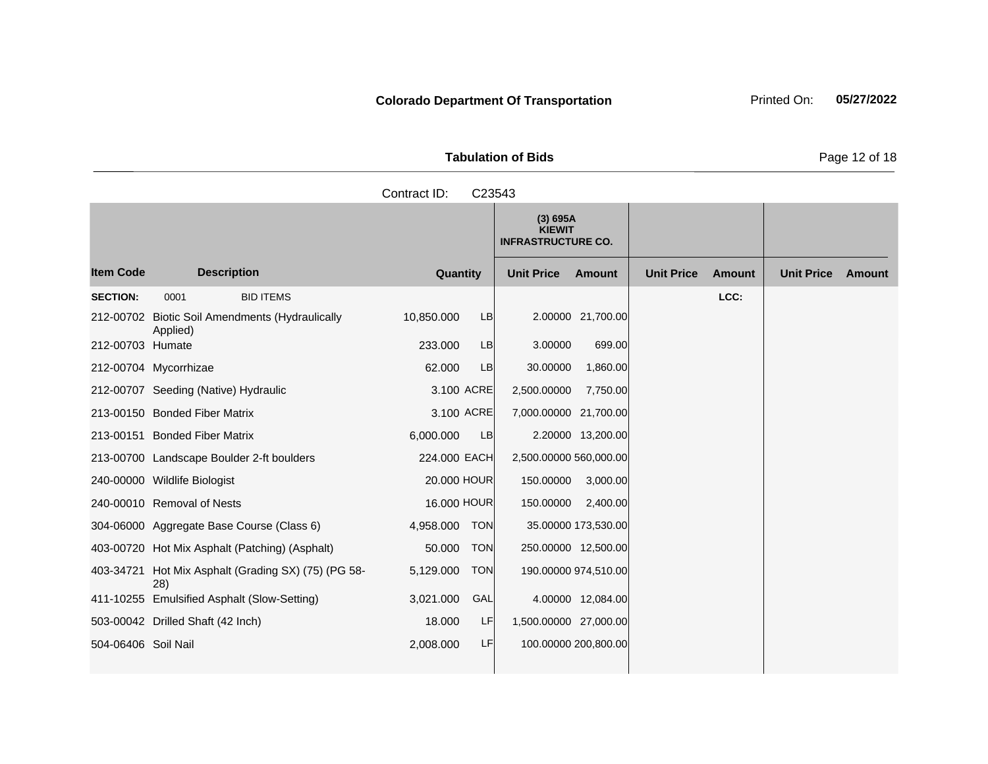**Tabulation of Bids** Page 12 of 18

**Quantity Unit Price Unit Price Item Code Amount Unit Price Amount Ext Ext Unit Price Amount Ext (3) 695A KIEWIT INFRASTRUCTURE CO. Description SECTION:** 0001 BID ITEMS **LCC:** 212-00702 Biotic Soil Amendments (Hydraulically Applied) 10,850.000 LB 2.00000 21,700.00 212-00703 Humate 233.000 LB 3.00000 699.00 212-00704 Mycorrhizae 62.000 LB 30.00000 1,860.00 212-00707 Seeding (Native) Hydraulic 3.100 ACRE 2,500.00000 7,750.00 213-00150 Bonded Fiber Matrix 3.100 ACRE 7,000.00000 21,700.00 213-00151 Bonded Fiber Matrix 6,000.000 LB 2.20000 13,200.00 213-00700 Landscape Boulder 2-ft boulders 224.000 EACH 2,500.00000 560,000.00 240-00000 Wildlife Biologist 20.000 HOUR 150.00000 3,000.00 240-00010 Removal of Nests 16.000 HOUR 150.00000 2,400.00 304-06000 Aggregate Base Course (Class 6) 4,958.000 TON 35.00000 173,530.00 403-00720 Hot Mix Asphalt (Patching) (Asphalt) 50.000 TON 250.00000 12,500.00 403-34721 Hot Mix Asphalt (Grading SX) (75) (PG 58- 28) 5,129.000 TON 190.00000 974,510.00 411-10255 Emulsified Asphalt (Slow-Setting) 3,021.000 GAL 4.00000 12,084.00 503-00042 Drilled Shaft (42 Inch) 18.000 LF 1,500.00000 27,000.00 Contract ID: C23543

504-06406 Soil Nail 2,008.000 LF 100.00000 200,800.00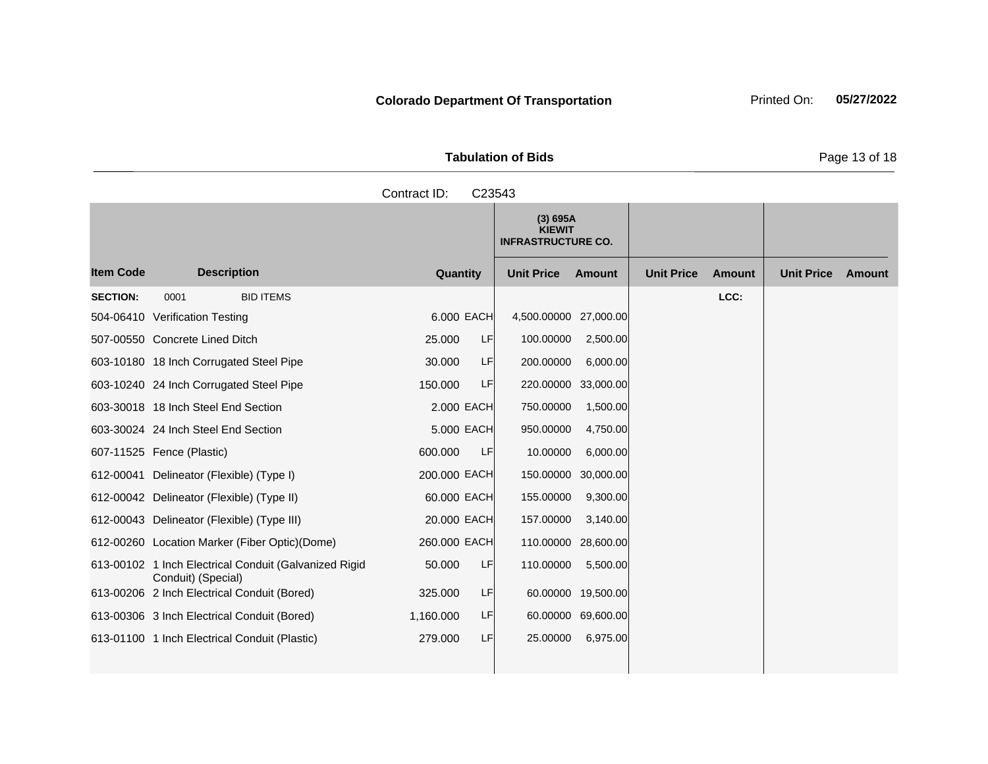**Tabulation of Bids** Page 13 of 18

**Quantity Unit Price Unit Price Item Code Amount Unit Price Amount Ext Ext Unit Price Amount Ext (3) 695A KIEWIT INFRASTRUCTURE CO. Description SECTION:** 0001 BID ITEMS **LCC:** 504-06410 Verification Testing 6.000 EACH 4,500.00000 27,000.00 507-00550 Concrete Lined Ditch 25.000 LF 100.00000 2,500.00 603-10180 18 Inch Corrugated Steel Pipe 30.000 LF 200.00000 6,000.00 603-10240 24 Inch Corrugated Steel Pipe 150.000 LF 220.00000 33,000.00 603-30018 18 Inch Steel End Section 2.000 EACH 750.00000 1,500.00 603-30024 24 Inch Steel End Section 5.000 EACH 950.00000 4,750.00 607-11525 Fence (Plastic) 600.000 LF 10.00000 6,000.00 612-00041 Delineator (Flexible) (Type I) 200.000 EACH 150.00000 30,000.00 612-00042 Delineator (Flexible) (Type II) 60.000 EACH 155.00000 9,300.00 612-00043 Delineator (Flexible) (Type III) 20.000 EACH 157.00000 3,140.00 612-00260 Location Marker (Fiber Optic)(Dome) 260.000 EACH 110.00000 28,600.00 613-00102 1 Inch Electrical Conduit (Galvanized Rigid Conduit) (Special) 50.000 LF 110.00000 5,500.00 613-00206 2 Inch Electrical Conduit (Bored) 325.000 LF 60.00000 19,500.00 613-00306 3 Inch Electrical Conduit (Bored) 1,160.000 LF 60.00000 69,600.00 613-01100 1 Inch Electrical Conduit (Plastic) 279.000 LF 25.00000 6,975.00 Contract ID: C23543

### **Colorado Department Of Transportation** Printed On: 05/27/2022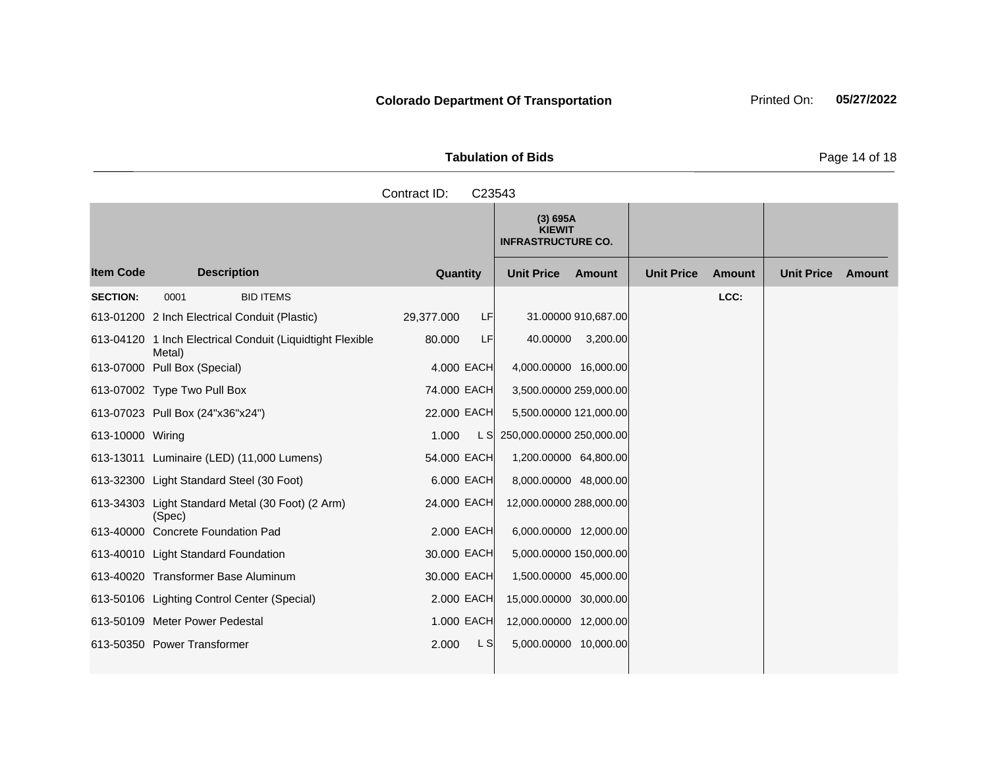Tabulation of Bids **Page 14 of 18** Contract ID: C23543

|                  |                                                            |                  | (3) 695A<br><b>KIEWIT</b><br><b>INFRASTRUCTURE CO.</b> |                                    |                             |
|------------------|------------------------------------------------------------|------------------|--------------------------------------------------------|------------------------------------|-----------------------------|
| <b>Item Code</b> | <b>Description</b>                                         | <b>Quantity</b>  | <b>Unit Price</b><br>Amount                            | <b>Unit Price</b><br><b>Amount</b> | <b>Unit Price</b><br>Amount |
| <b>SECTION:</b>  | 0001<br><b>BID ITEMS</b>                                   |                  |                                                        | LCC:                               |                             |
|                  | 613-01200 2 Inch Electrical Conduit (Plastic)              | LF<br>29,377.000 | 31.00000 910,687.00                                    |                                    |                             |
| 613-04120        | 1 Inch Electrical Conduit (Liquidtight Flexible<br>Metal)  | LF<br>80.000     | 40.00000<br>3,200.00                                   |                                    |                             |
|                  | 613-07000 Pull Box (Special)                               | 4,000 EACH       | 4,000.00000 16,000.00                                  |                                    |                             |
|                  | 613-07002 Type Two Pull Box                                | 74.000 EACH      | 3,500.00000 259,000.00                                 |                                    |                             |
|                  | 613-07023 Pull Box (24"x36"x24")                           | 22.000 EACH      | 5,500.00000 121,000.00                                 |                                    |                             |
| 613-10000 Wiring |                                                            | 1.000<br>L S     | 250,000.00000 250,000.00                               |                                    |                             |
|                  | 613-13011 Luminaire (LED) (11,000 Lumens)                  | 54.000 EACH      | 1,200.00000 64,800.00                                  |                                    |                             |
|                  | 613-32300 Light Standard Steel (30 Foot)                   | 6.000 EACH       | 8,000.00000 48,000.00                                  |                                    |                             |
|                  | 613-34303 Light Standard Metal (30 Foot) (2 Arm)<br>(Spec) | 24.000 EACH      | 12,000.00000 288,000.00                                |                                    |                             |
|                  | 613-40000 Concrete Foundation Pad                          | 2.000 EACH       | 6,000.00000 12,000.00                                  |                                    |                             |
|                  | 613-40010 Light Standard Foundation                        | 30.000 EACH      | 5,000.00000 150,000.00                                 |                                    |                             |
|                  | 613-40020 Transformer Base Aluminum                        | 30.000 EACH      | 1,500.00000 45,000.00                                  |                                    |                             |
|                  | 613-50106 Lighting Control Center (Special)                | 2.000 EACH       | 15,000.00000 30,000.00                                 |                                    |                             |
|                  | 613-50109 Meter Power Pedestal                             | 1.000 EACH       | 12,000.00000 12,000.00                                 |                                    |                             |
|                  | 613-50350 Power Transformer                                | L S<br>2.000     | 5,000.00000 10,000.00                                  |                                    |                             |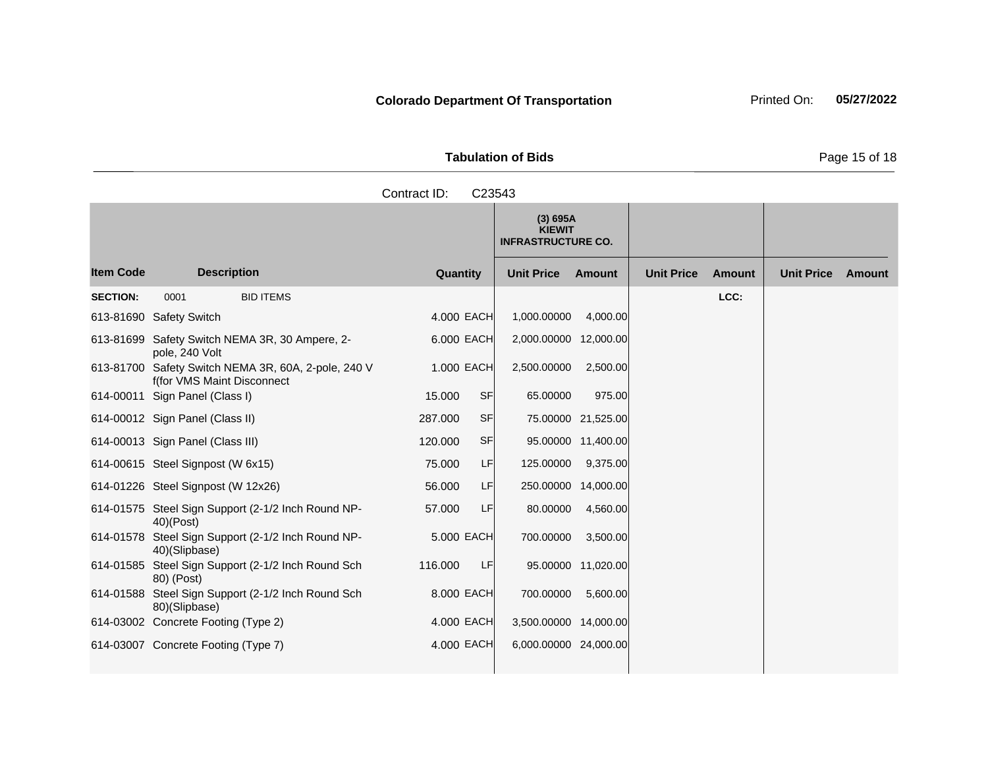Tabulation of Bids **Page 15 of 18** 

|                  | Contract ID:<br>C23543                                                            |                     |                                                        |                    |                   |               |                   |        |  |  |
|------------------|-----------------------------------------------------------------------------------|---------------------|--------------------------------------------------------|--------------------|-------------------|---------------|-------------------|--------|--|--|
|                  |                                                                                   |                     | (3) 695A<br><b>KIEWIT</b><br><b>INFRASTRUCTURE CO.</b> |                    |                   |               |                   |        |  |  |
| <b>Item Code</b> | <b>Description</b>                                                                | Quantity            | <b>Unit Price</b>                                      | Amount             | <b>Unit Price</b> | <b>Amount</b> | <b>Unit Price</b> | Amount |  |  |
| <b>SECTION:</b>  | 0001<br><b>BID ITEMS</b>                                                          |                     |                                                        |                    |                   | LCC:          |                   |        |  |  |
|                  | 613-81690 Safety Switch                                                           | 4.000 EACH          | 1,000.00000                                            | 4,000.00           |                   |               |                   |        |  |  |
|                  | 613-81699 Safety Switch NEMA 3R, 30 Ampere, 2-<br>pole, 240 Volt                  | 6.000 EACH          | 2,000.00000 12,000.00                                  |                    |                   |               |                   |        |  |  |
|                  | 613-81700 Safety Switch NEMA 3R, 60A, 2-pole, 240 V<br>f(for VMS Maint Disconnect | 1.000 EACH          | 2,500.00000                                            | 2,500.00           |                   |               |                   |        |  |  |
|                  | 614-00011 Sign Panel (Class I)                                                    | <b>SF</b><br>15.000 | 65.00000                                               | 975.00             |                   |               |                   |        |  |  |
|                  | 614-00012 Sign Panel (Class II)                                                   | SF<br>287.000       |                                                        | 75.00000 21,525.00 |                   |               |                   |        |  |  |
|                  | 614-00013 Sign Panel (Class III)                                                  | SF<br>120.000       |                                                        | 95.00000 11,400.00 |                   |               |                   |        |  |  |
|                  | 614-00615 Steel Signpost (W 6x15)                                                 | LF<br>75.000        | 125.00000                                              | 9,375.00           |                   |               |                   |        |  |  |
|                  | 614-01226 Steel Signpost (W 12x26)                                                | 56.000<br>LF        | 250.00000 14,000.00                                    |                    |                   |               |                   |        |  |  |
|                  | 614-01575 Steel Sign Support (2-1/2 Inch Round NP-<br>$40)$ (Post)                | LF<br>57.000        | 80.00000                                               | 4,560.00           |                   |               |                   |        |  |  |
|                  | 614-01578 Steel Sign Support (2-1/2 Inch Round NP-<br>40)(Slipbase)               | 5.000 EACH          | 700.00000                                              | 3,500.00           |                   |               |                   |        |  |  |
|                  | 614-01585 Steel Sign Support (2-1/2 Inch Round Sch<br>80) (Post)                  | 116.000<br>LF.      |                                                        | 95.00000 11,020.00 |                   |               |                   |        |  |  |
|                  | 614-01588 Steel Sign Support (2-1/2 Inch Round Sch<br>80)(Slipbase)               | 8.000 EACH          | 700.00000                                              | 5,600.00           |                   |               |                   |        |  |  |
|                  | 614-03002 Concrete Footing (Type 2)                                               | 4.000 EACH          | 3,500.00000 14,000.00                                  |                    |                   |               |                   |        |  |  |
|                  | 614-03007 Concrete Footing (Type 7)                                               | 4.000 EACH          | 6,000.00000 24,000.00                                  |                    |                   |               |                   |        |  |  |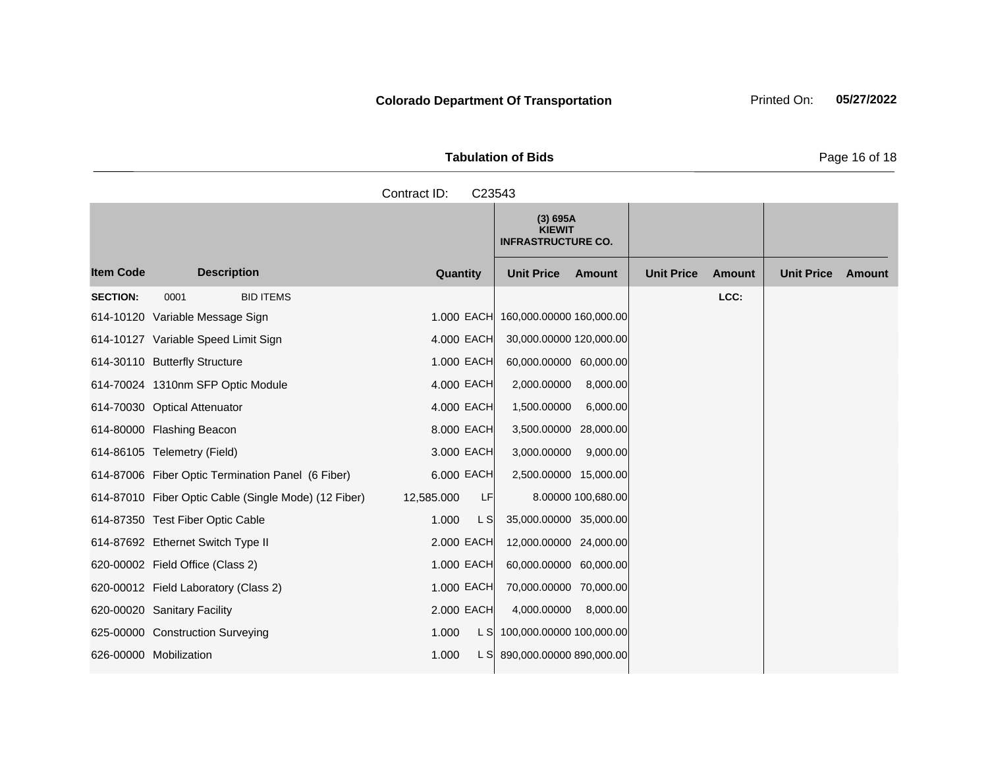**Tabulation of Bids** Page 16 of 18

Contract ID: C23543

**Quantity Unit Price Unit Price Item Code Amount Unit Price Amount Ext Ext Unit Price Amount Ext (3) 695A KIEWIT INFRASTRUCTURE CO. Description SECTION:** 0001 BID ITEMS **LCC:** 614-10120 Variable Message Sign 1.000 EACH 160,000.00000 160,000.00 614-10127 Variable Speed Limit Sign 4.000 EACH 30,000.00000 120,000.00 614-30110 Butterfly Structure 1.000 EACH 60,000.00000 60,000.00 614-70024 1310nm SFP Optic Module 4.000 EACH 2,000.00000 8,000.00 614-70030 Optical Attenuator 4.000 EACH 1,500.00000 6,000.00

614-80000 Flashing Beacon 8.000 EACH 3,500.00000 28,000.00 614-86105 Telemetry (Field) 3.000 EACH 3,000.00000 9,000.00 614-87006 Fiber Optic Termination Panel (6 Fiber) 6.000 EACH 2,500.00000 15,000.00 614-87010 Fiber Optic Cable (Single Mode) (12 Fiber) 12,585.000 LF 8.00000 100,680.00 614-87350 Test Fiber Optic Cable 1.000 L S 35,000.00000 35,000.00 614-87692 Ethernet Switch Type II 2.000 EACH 12,000.00000 24,000.00 620-00002 Field Office (Class 2) 1.000 EACH 60,000.00000 60,000.00 620-00012 Field Laboratory (Class 2) 1.000 EACH 70,000.00000 70,000.00 620-00020 Sanitary Facility 2.000 EACH 4,000.00000 8,000.00 625-00000 Construction Surveying 1.000 L S 100,000.00000 100,000.00 626-00000 Mobilization 1.000 L S 890,000.00000 890,000.00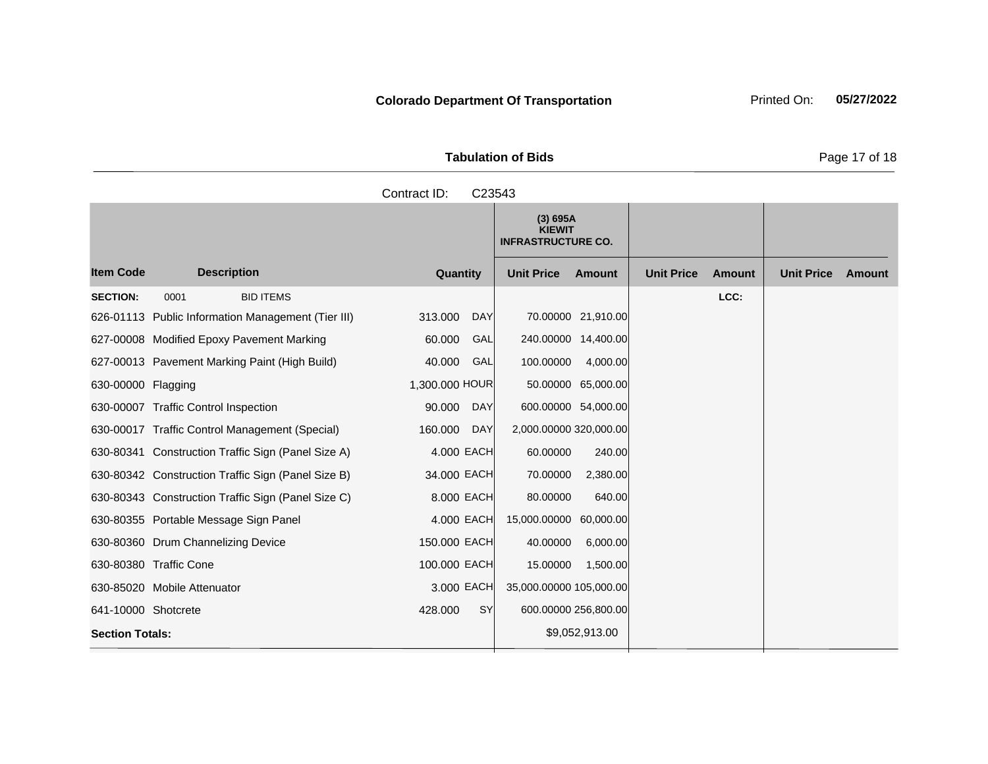Tabulation of Bids **Page 17 of 18** 

|                        |                                                    | Contract ID:<br>C23543 |                                                        |                                    |                             |
|------------------------|----------------------------------------------------|------------------------|--------------------------------------------------------|------------------------------------|-----------------------------|
|                        |                                                    |                        | (3) 695A<br><b>KIEWIT</b><br><b>INFRASTRUCTURE CO.</b> |                                    |                             |
| <b>Item Code</b>       | <b>Description</b>                                 | Quantity               | <b>Unit Price</b><br>Amount                            | <b>Unit Price</b><br><b>Amount</b> | <b>Unit Price</b><br>Amount |
| <b>SECTION:</b>        | <b>BID ITEMS</b><br>0001                           |                        |                                                        | LCC:                               |                             |
|                        | 626-01113 Public Information Management (Tier III) | 313.000<br><b>DAY</b>  | 70.00000 21,910.00                                     |                                    |                             |
|                        | 627-00008 Modified Epoxy Pavement Marking          | 60.000<br>GAL          | 240.00000 14,400.00                                    |                                    |                             |
|                        | 627-00013 Pavement Marking Paint (High Build)      | 40.000<br>GAL          | 100.00000<br>4,000.00                                  |                                    |                             |
| 630-00000 Flagging     |                                                    | 1,300.000 HOUR         | 50.00000 65,000.00                                     |                                    |                             |
|                        | 630-00007 Traffic Control Inspection               | 90.000<br><b>DAY</b>   | 600.00000 54,000.00                                    |                                    |                             |
|                        | 630-00017 Traffic Control Management (Special)     | 160.000<br><b>DAY</b>  | 2,000.00000 320,000.00                                 |                                    |                             |
|                        | 630-80341 Construction Traffic Sign (Panel Size A) | 4.000 EACH             | 60.00000<br>240.00                                     |                                    |                             |
|                        | 630-80342 Construction Traffic Sign (Panel Size B) | 34.000 EACH            | 70.00000<br>2,380.00                                   |                                    |                             |
|                        | 630-80343 Construction Traffic Sign (Panel Size C) | 8.000 EACH             | 80.00000<br>640.00                                     |                                    |                             |
|                        | 630-80355 Portable Message Sign Panel              | 4.000 EACH             | 15,000.00000<br>60,000.00                              |                                    |                             |
|                        | 630-80360 Drum Channelizing Device                 | 150.000 EACH           | 40.00000<br>6,000.00                                   |                                    |                             |
|                        | 630-80380 Traffic Cone                             | 100.000 EACH           | 15.00000<br>1,500.00                                   |                                    |                             |
|                        | 630-85020 Mobile Attenuator                        | 3.000 EACH             | 35,000.00000 105,000.00                                |                                    |                             |
| 641-10000 Shotcrete    |                                                    | 428.000<br><b>SY</b>   | 600.00000 256,800.00                                   |                                    |                             |
| <b>Section Totals:</b> |                                                    |                        | \$9,052,913.00                                         |                                    |                             |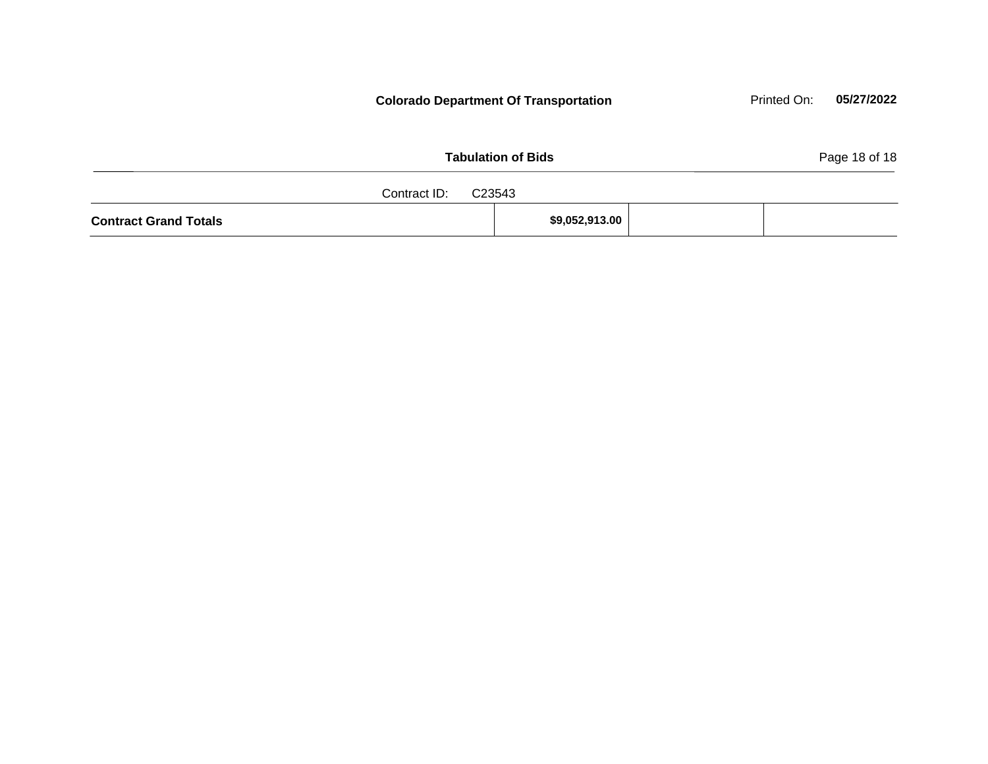| <b>Tabulation of Bids</b>    |  |                |  |  |  |
|------------------------------|--|----------------|--|--|--|
| Contract ID: C23543          |  |                |  |  |  |
| <b>Contract Grand Totals</b> |  | \$9,052,913.00 |  |  |  |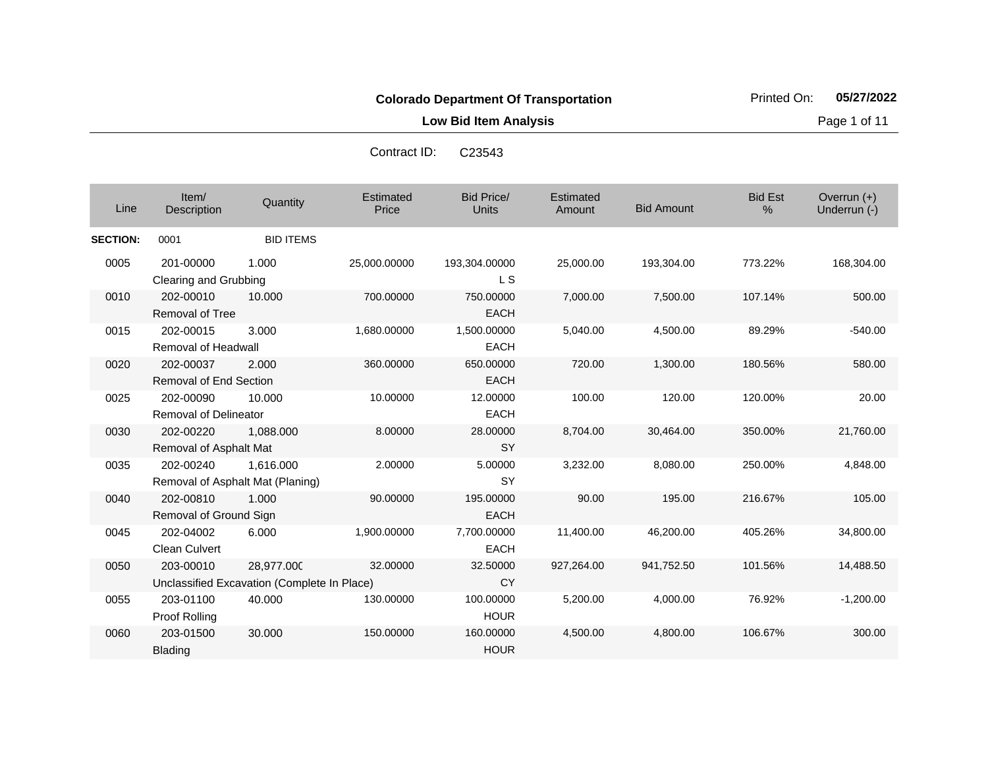**Low Bid Item Analysis Page 1 of 11** 

Contract ID: C23543

| Line            | Item/<br><b>Description</b>                | Quantity                                                  | Estimated<br>Price | <b>Bid Price/</b><br><b>Units</b> | Estimated<br>Amount | <b>Bid Amount</b> | <b>Bid Est</b><br>% | Overrun $(+)$<br>Underrun (-) |
|-----------------|--------------------------------------------|-----------------------------------------------------------|--------------------|-----------------------------------|---------------------|-------------------|---------------------|-------------------------------|
| <b>SECTION:</b> | 0001                                       | <b>BID ITEMS</b>                                          |                    |                                   |                     |                   |                     |                               |
| 0005            | 201-00000<br>Clearing and Grubbing         | 1.000                                                     | 25,000.00000       | 193,304.00000<br>L S              | 25,000.00           | 193,304.00        | 773.22%             | 168,304.00                    |
| 0010            | 202-00010<br><b>Removal of Tree</b>        | 10.000                                                    | 700.00000          | 750.00000<br><b>EACH</b>          | 7,000.00            | 7,500.00          | 107.14%             | 500.00                        |
| 0015            | 202-00015<br>Removal of Headwall           | 3.000                                                     | 1,680.00000        | 1,500.00000<br><b>EACH</b>        | 5,040.00            | 4,500.00          | 89.29%              | $-540.00$                     |
| 0020            | 202-00037<br><b>Removal of End Section</b> | 2.000                                                     | 360,00000          | 650.00000<br><b>EACH</b>          | 720.00              | 1,300.00          | 180.56%             | 580.00                        |
| 0025            | 202-00090<br><b>Removal of Delineator</b>  | 10.000                                                    | 10.00000           | 12.00000<br><b>EACH</b>           | 100.00              | 120.00            | 120.00%             | 20.00                         |
| 0030            | 202-00220<br>Removal of Asphalt Mat        | 1,088.000                                                 | 8.00000            | 28.00000<br><b>SY</b>             | 8,704.00            | 30,464.00         | 350.00%             | 21,760.00                     |
| 0035            | 202-00240                                  | 1.616.000<br>Removal of Asphalt Mat (Planing)             | 2.00000            | 5.00000<br>SY                     | 3,232.00            | 8,080.00          | 250.00%             | 4,848.00                      |
| 0040            | 202-00810<br>Removal of Ground Sign        | 1.000                                                     | 90.00000           | 195.00000<br><b>EACH</b>          | 90.00               | 195.00            | 216.67%             | 105.00                        |
| 0045            | 202-04002<br><b>Clean Culvert</b>          | 6.000                                                     | 1,900.00000        | 7,700.00000<br><b>EACH</b>        | 11,400.00           | 46,200.00         | 405.26%             | 34,800.00                     |
| 0050            | 203-00010                                  | 28,977.000<br>Unclassified Excavation (Complete In Place) | 32,00000           | 32.50000<br><b>CY</b>             | 927,264.00          | 941,752.50        | 101.56%             | 14,488.50                     |
| 0055            | 203-01100<br>Proof Rolling                 | 40.000                                                    | 130.00000          | 100.00000<br><b>HOUR</b>          | 5,200.00            | 4,000.00          | 76.92%              | $-1,200.00$                   |
| 0060            | 203-01500<br>Blading                       | 30,000                                                    | 150,00000          | 160.00000<br><b>HOUR</b>          | 4,500.00            | 4,800.00          | 106.67%             | 300.00                        |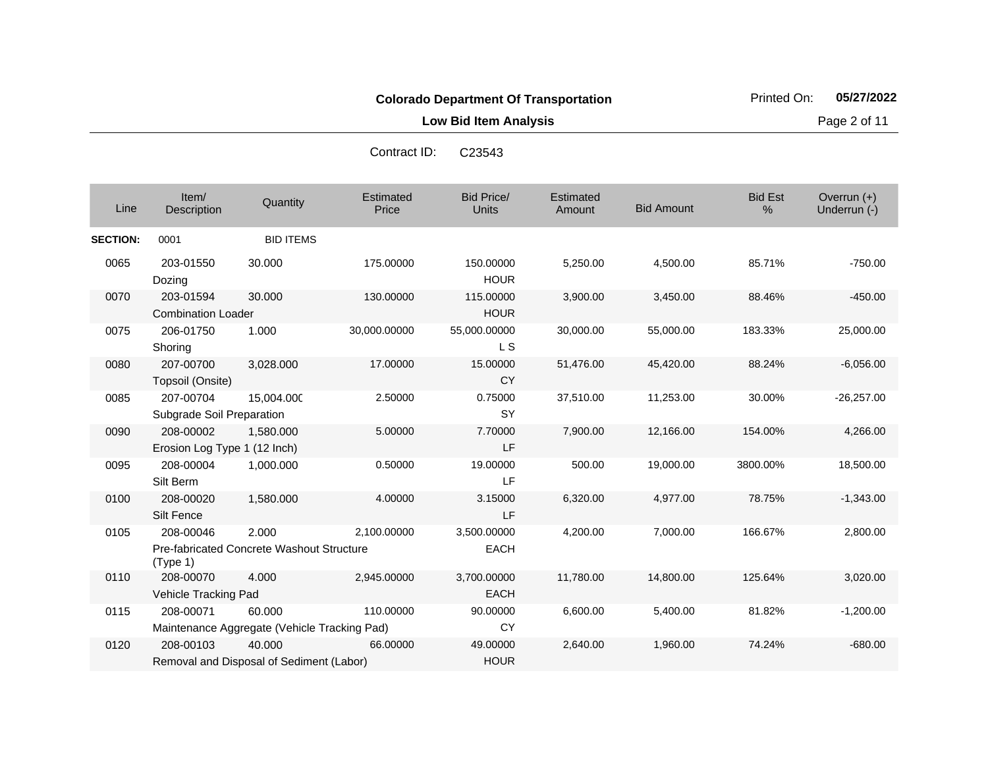Contract ID: C23543

**Low Bid Item Analysis Page 2 of 11** 

| Line            | Item/<br>Description                      | Quantity                                               | Estimated<br>Price | <b>Bid Price/</b><br><b>Units</b> | Estimated<br>Amount | <b>Bid Amount</b> | <b>Bid Est</b><br>$\%$ | Overrun (+)<br>Underrun (-) |
|-----------------|-------------------------------------------|--------------------------------------------------------|--------------------|-----------------------------------|---------------------|-------------------|------------------------|-----------------------------|
| <b>SECTION:</b> | 0001                                      | <b>BID ITEMS</b>                                       |                    |                                   |                     |                   |                        |                             |
| 0065            | 203-01550<br>Dozing                       | 30.000                                                 | 175.00000          | 150.00000<br><b>HOUR</b>          | 5,250.00            | 4,500.00          | 85.71%                 | $-750.00$                   |
| 0070            | 203-01594<br><b>Combination Loader</b>    | 30.000                                                 | 130.00000          | 115.00000<br><b>HOUR</b>          | 3,900.00            | 3,450.00          | 88.46%                 | $-450.00$                   |
| 0075            | 206-01750<br>Shoring                      | 1.000                                                  | 30,000.00000       | 55,000.00000<br><b>LS</b>         | 30,000.00           | 55,000.00         | 183.33%                | 25,000.00                   |
| 0080            | 207-00700<br>Topsoil (Onsite)             | 3,028.000                                              | 17.00000           | 15.00000<br><b>CY</b>             | 51,476.00           | 45,420.00         | 88.24%                 | $-6,056.00$                 |
| 0085            | 207-00704<br>Subgrade Soil Preparation    | 15,004.000                                             | 2.50000            | 0.75000<br><b>SY</b>              | 37,510.00           | 11,253.00         | 30.00%                 | $-26,257.00$                |
| 0090            | 208-00002<br>Erosion Log Type 1 (12 Inch) | 1,580.000                                              | 5.00000            | 7.70000<br>LF                     | 7,900.00            | 12,166.00         | 154.00%                | 4,266.00                    |
| 0095            | 208-00004<br>Silt Berm                    | 1.000.000                                              | 0.50000            | 19.00000<br>LF                    | 500.00              | 19.000.00         | 3800.00%               | 18,500.00                   |
| 0100            | 208-00020<br>Silt Fence                   | 1,580.000                                              | 4.00000            | 3.15000<br>LF                     | 6,320.00            | 4,977.00          | 78.75%                 | $-1,343.00$                 |
| 0105            | 208-00046<br>(Type 1)                     | 2.000<br>Pre-fabricated Concrete Washout Structure     | 2,100.00000        | 3,500.00000<br><b>EACH</b>        | 4,200.00            | 7,000.00          | 166.67%                | 2,800.00                    |
| 0110            | 208-00070<br>Vehicle Tracking Pad         | 4.000                                                  | 2,945.00000        | 3,700.00000<br><b>EACH</b>        | 11,780.00           | 14,800.00         | 125.64%                | 3,020.00                    |
| 0115            | 208-00071                                 | 60.000<br>Maintenance Aggregate (Vehicle Tracking Pad) | 110.00000          | 90.00000<br>CY                    | 6,600.00            | 5,400.00          | 81.82%                 | $-1,200.00$                 |
| 0120            | 208-00103                                 | 40.000<br>Removal and Disposal of Sediment (Labor)     | 66.00000           | 49.00000<br><b>HOUR</b>           | 2,640.00            | 1,960.00          | 74.24%                 | $-680.00$                   |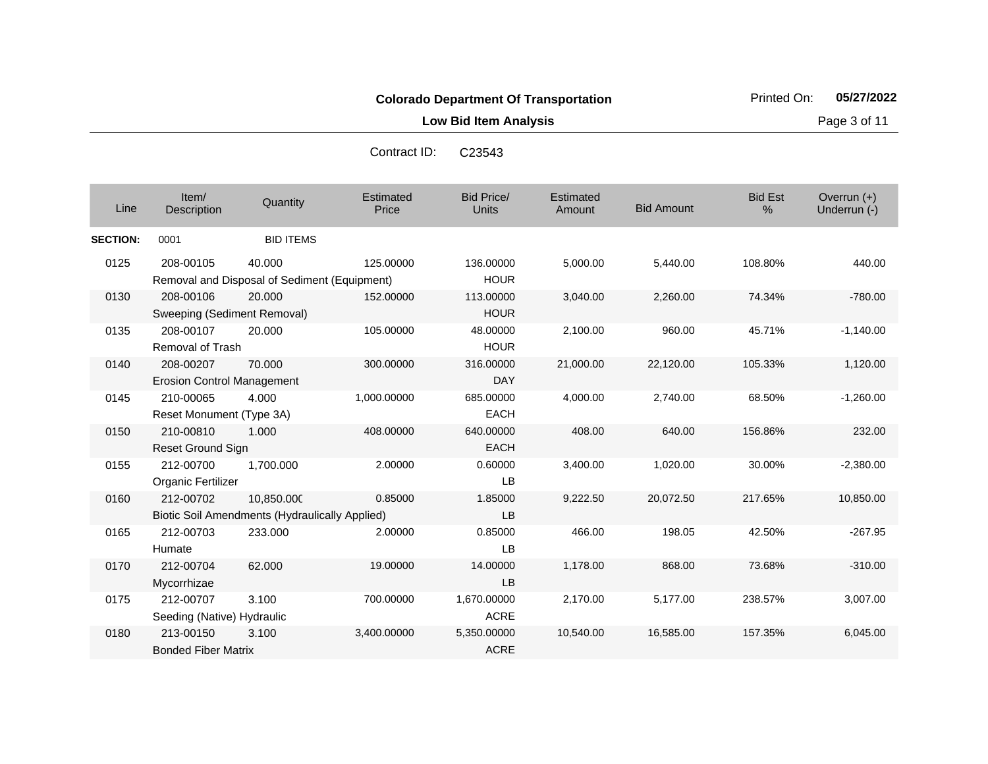**Low Bid Item Analysis Page 3 of 11** 

| Contract ID: | C <sub>23543</sub> |
|--------------|--------------------|
|--------------|--------------------|

| Line            | Item/<br>Description                           | Quantity                                                     | <b>Estimated</b><br>Price | <b>Bid Price/</b><br><b>Units</b> | Estimated<br>Amount | <b>Bid Amount</b> | <b>Bid Est</b><br>$\%$ | Overrun $(+)$<br>Underrun (-) |
|-----------------|------------------------------------------------|--------------------------------------------------------------|---------------------------|-----------------------------------|---------------------|-------------------|------------------------|-------------------------------|
| <b>SECTION:</b> | 0001                                           | <b>BID ITEMS</b>                                             |                           |                                   |                     |                   |                        |                               |
| 0125            | 208-00105                                      | 40.000<br>Removal and Disposal of Sediment (Equipment)       | 125.00000                 | 136.00000<br><b>HOUR</b>          | 5,000.00            | 5,440.00          | 108.80%                | 440.00                        |
| 0130            | 208-00106<br>Sweeping (Sediment Removal)       | 20,000                                                       | 152,00000                 | 113.00000<br><b>HOUR</b>          | 3,040.00            | 2,260.00          | 74.34%                 | $-780.00$                     |
| 0135            | 208-00107<br><b>Removal of Trash</b>           | 20.000                                                       | 105.00000                 | 48.00000<br><b>HOUR</b>           | 2,100.00            | 960.00            | 45.71%                 | $-1,140.00$                   |
| 0140            | 208-00207<br><b>Erosion Control Management</b> | 70.000                                                       | 300.00000                 | 316,00000<br><b>DAY</b>           | 21,000.00           | 22,120.00         | 105.33%                | 1,120.00                      |
| 0145            | 210-00065<br>Reset Monument (Type 3A)          | 4.000                                                        | 1,000.00000               | 685.00000<br><b>EACH</b>          | 4,000.00            | 2,740.00          | 68.50%                 | $-1,260.00$                   |
| 0150            | 210-00810<br><b>Reset Ground Sign</b>          | 1.000                                                        | 408.00000                 | 640.00000<br><b>EACH</b>          | 408.00              | 640.00            | 156.86%                | 232.00                        |
| 0155            | 212-00700<br>Organic Fertilizer                | 1,700.000                                                    | 2.00000                   | 0.60000<br><b>LB</b>              | 3,400.00            | 1,020.00          | 30.00%                 | $-2,380.00$                   |
| 0160            | 212-00702                                      | 10,850.000<br>Biotic Soil Amendments (Hydraulically Applied) | 0.85000                   | 1.85000<br><b>LB</b>              | 9,222.50            | 20,072.50         | 217.65%                | 10,850.00                     |
| 0165            | 212-00703<br>Humate                            | 233.000                                                      | 2.00000                   | 0.85000<br><b>LB</b>              | 466.00              | 198.05            | 42.50%                 | $-267.95$                     |
| 0170            | 212-00704<br>Mycorrhizae                       | 62.000                                                       | 19.00000                  | 14.00000<br><b>LB</b>             | 1,178.00            | 868.00            | 73.68%                 | $-310.00$                     |
| 0175            | 212-00707<br>Seeding (Native) Hydraulic        | 3.100                                                        | 700.00000                 | 1,670.00000<br><b>ACRE</b>        | 2,170.00            | 5,177.00          | 238.57%                | 3,007.00                      |
| 0180            | 213-00150<br><b>Bonded Fiber Matrix</b>        | 3.100                                                        | 3,400.00000               | 5,350.00000<br><b>ACRE</b>        | 10,540.00           | 16,585.00         | 157.35%                | 6,045.00                      |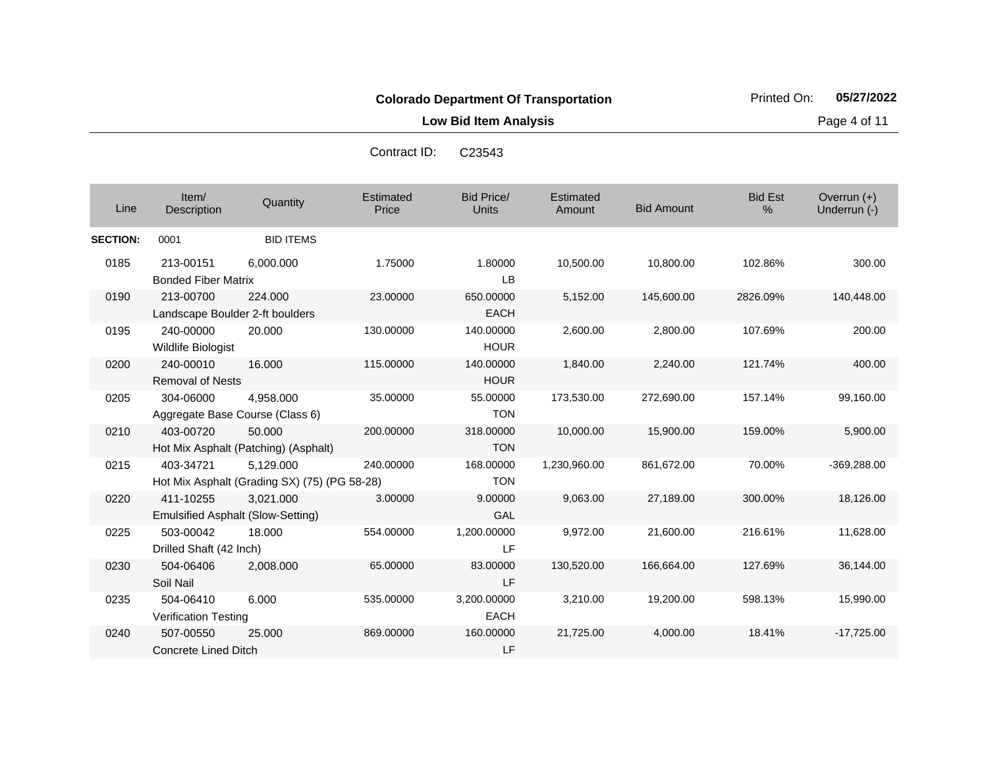**Low Bid Item Analysis Page 4 of 11** 

| Line            | Item/<br>Description                         | Quantity                                                  | Estimated<br>Price | <b>Bid Price/</b><br>Units | Estimated<br>Amount | <b>Bid Amount</b> | <b>Bid Est</b><br>% | Overrun (+)<br>Underrun (-) |
|-----------------|----------------------------------------------|-----------------------------------------------------------|--------------------|----------------------------|---------------------|-------------------|---------------------|-----------------------------|
| <b>SECTION:</b> | 0001                                         | <b>BID ITEMS</b>                                          |                    |                            |                     |                   |                     |                             |
| 0185            | 213-00151<br><b>Bonded Fiber Matrix</b>      | 6.000.000                                                 | 1.75000            | 1.80000<br>LB              | 10,500.00           | 10,800.00         | 102.86%             | 300.00                      |
| 0190            | 213-00700<br>Landscape Boulder 2-ft boulders | 224.000                                                   | 23.00000           | 650.00000<br><b>EACH</b>   | 5,152.00            | 145,600.00        | 2826.09%            | 140,448.00                  |
| 0195            | 240-00000<br>Wildlife Biologist              | 20.000                                                    | 130.00000          | 140.00000<br><b>HOUR</b>   | 2,600.00            | 2,800.00          | 107.69%             | 200.00                      |
| 0200            | 240-00010<br><b>Removal of Nests</b>         | 16.000                                                    | 115.00000          | 140.00000<br><b>HOUR</b>   | 1,840.00            | 2,240.00          | 121.74%             | 400.00                      |
| 0205            | 304-06000                                    | 4,958.000<br>Aggregate Base Course (Class 6)              | 35.00000           | 55.00000<br><b>TON</b>     | 173,530.00          | 272,690.00        | 157.14%             | 99,160.00                   |
| 0210            | 403-00720                                    | 50.000<br>Hot Mix Asphalt (Patching) (Asphalt)            | 200.00000          | 318.00000<br><b>TON</b>    | 10,000.00           | 15,900.00         | 159.00%             | 5,900.00                    |
| 0215            | 403-34721                                    | 5,129.000<br>Hot Mix Asphalt (Grading SX) (75) (PG 58-28) | 240.00000          | 168.00000<br><b>TON</b>    | 1,230,960.00        | 861,672.00        | 70.00%              | $-369,288.00$               |
| 0220            | 411-10255                                    | 3,021.000<br><b>Emulsified Asphalt (Slow-Setting)</b>     | 3.00000            | 9.00000<br>GAL             | 9,063.00            | 27,189.00         | 300.00%             | 18,126.00                   |
| 0225            | 503-00042<br>Drilled Shaft (42 Inch)         | 18.000                                                    | 554.00000          | 1,200.00000<br>LF          | 9,972.00            | 21,600.00         | 216.61%             | 11,628.00                   |
| 0230            | 504-06406<br>Soil Nail                       | 2,008.000                                                 | 65.00000           | 83.00000<br>LF             | 130,520.00          | 166,664.00        | 127.69%             | 36,144.00                   |
| 0235            | 504-06410<br><b>Verification Testing</b>     | 6.000                                                     | 535.00000          | 3,200.00000<br><b>EACH</b> | 3,210.00            | 19,200.00         | 598.13%             | 15,990.00                   |
| 0240            | 507-00550<br><b>Concrete Lined Ditch</b>     | 25.000                                                    | 869.00000          | 160.00000<br>LF            | 21,725.00           | 4,000.00          | 18.41%              | $-17,725.00$                |

Contract ID: C23543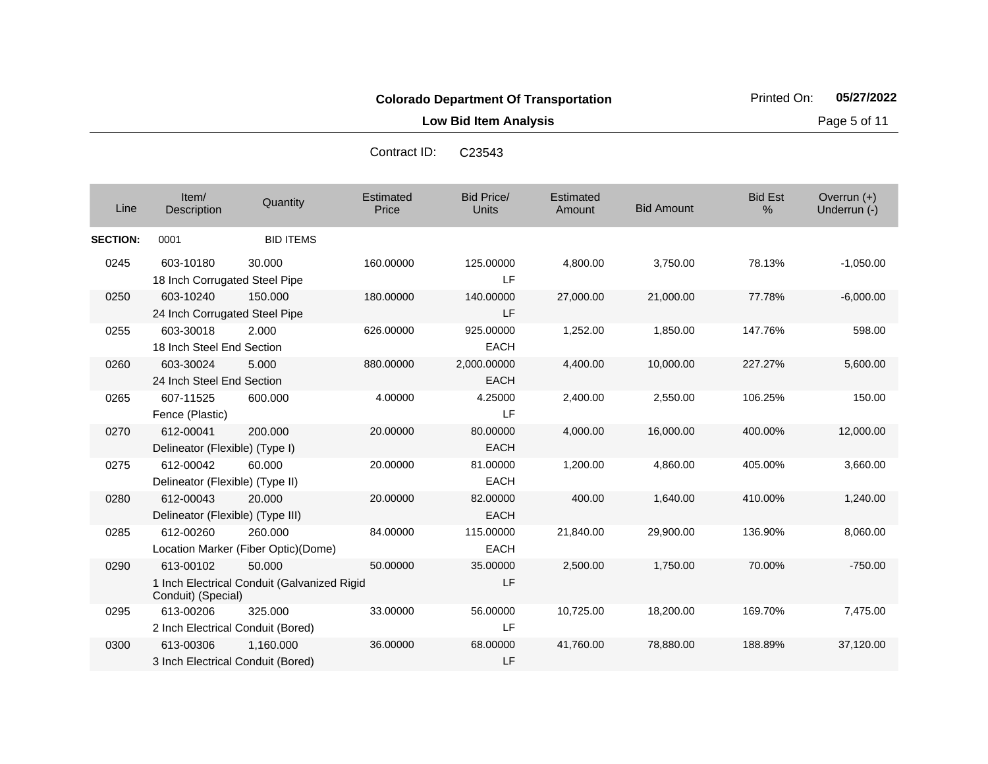**Low Bid Item Analysis Page 5 of 11** 

|                 |                                                |                                                       | Contract ID:              | C <sub>23543</sub>                |                     |                   |                     |                             |
|-----------------|------------------------------------------------|-------------------------------------------------------|---------------------------|-----------------------------------|---------------------|-------------------|---------------------|-----------------------------|
| Line            | Item/<br>Description                           | Quantity                                              | <b>Estimated</b><br>Price | <b>Bid Price/</b><br><b>Units</b> | Estimated<br>Amount | <b>Bid Amount</b> | <b>Bid Est</b><br>% | Overrun (+)<br>Underrun (-) |
| <b>SECTION:</b> | 0001                                           | <b>BID ITEMS</b>                                      |                           |                                   |                     |                   |                     |                             |
| 0245            | 603-10180<br>18 Inch Corrugated Steel Pipe     | 30,000                                                | 160.00000                 | 125.00000<br>LF                   | 4,800.00            | 3,750.00          | 78.13%              | $-1,050.00$                 |
| 0250            | 603-10240<br>24 Inch Corrugated Steel Pipe     | 150.000                                               | 180.00000                 | 140.00000<br>LF                   | 27,000.00           | 21,000.00         | 77.78%              | $-6,000.00$                 |
| 0255            | 603-30018<br>18 Inch Steel End Section         | 2.000                                                 | 626.00000                 | 925.00000<br><b>EACH</b>          | 1,252.00            | 1,850.00          | 147.76%             | 598.00                      |
| 0260            | 603-30024<br>24 Inch Steel End Section         | 5.000                                                 | 880.00000                 | 2,000.00000<br><b>EACH</b>        | 4,400.00            | 10,000.00         | 227.27%             | 5,600.00                    |
| 0265            | 607-11525<br>Fence (Plastic)                   | 600.000                                               | 4.00000                   | 4.25000<br>LF                     | 2,400.00            | 2,550.00          | 106.25%             | 150.00                      |
| 0270            | 612-00041<br>Delineator (Flexible) (Type I)    | 200,000                                               | 20.00000                  | 80.00000<br><b>EACH</b>           | 4,000.00            | 16,000.00         | 400.00%             | 12,000.00                   |
| 0275            | 612-00042<br>Delineator (Flexible) (Type II)   | 60,000                                                | 20.00000                  | 81.00000<br><b>EACH</b>           | 1,200.00            | 4,860.00          | 405.00%             | 3,660.00                    |
| 0280            | 612-00043<br>Delineator (Flexible) (Type III)  | 20.000                                                | 20.00000                  | 82.00000<br><b>EACH</b>           | 400.00              | 1,640.00          | 410.00%             | 1,240.00                    |
| 0285            | 612-00260                                      | 260.000<br>Location Marker (Fiber Optic)(Dome)        | 84.00000                  | 115.00000<br><b>EACH</b>          | 21,840.00           | 29,900.00         | 136.90%             | 8,060.00                    |
| 0290            | 613-00102<br>Conduit) (Special)                | 50,000<br>1 Inch Electrical Conduit (Galvanized Rigid | 50.00000                  | 35.00000<br>LF                    | 2,500.00            | 1,750.00          | 70.00%              | $-750.00$                   |
| 0295            | 613-00206<br>2 Inch Electrical Conduit (Bored) | 325,000                                               | 33.00000                  | 56.00000<br>LF                    | 10,725.00           | 18,200.00         | 169.70%             | 7,475.00                    |
| 0300            | 613-00306                                      | 1,160.000                                             | 36.00000                  | 68.00000                          | 41,760.00           | 78,880.00         | 188.89%             | 37,120.00                   |

LF

3 Inch Electrical Conduit (Bored)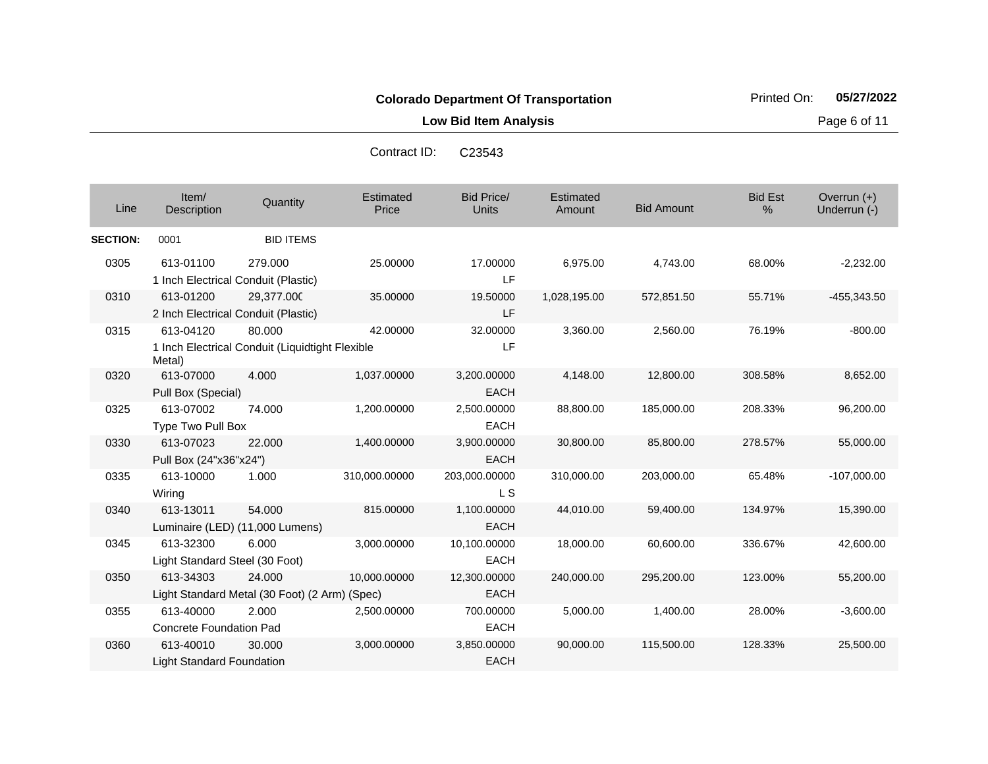**Low Bid Item Analysis Page 6 of 11** 

| Line            | Item/<br>Description                             | Quantity                                                  | <b>Estimated</b><br>Price | <b>Bid Price/</b><br><b>Units</b> | Estimated<br>Amount | <b>Bid Amount</b> | <b>Bid Est</b><br>% | Overrun $(+)$<br>Underrun (-) |
|-----------------|--------------------------------------------------|-----------------------------------------------------------|---------------------------|-----------------------------------|---------------------|-------------------|---------------------|-------------------------------|
| <b>SECTION:</b> | 0001                                             | <b>BID ITEMS</b>                                          |                           |                                   |                     |                   |                     |                               |
| 0305            | 613-01100<br>1 Inch Electrical Conduit (Plastic) | 279.000                                                   | 25.00000                  | 17.00000<br>LF.                   | 6,975.00            | 4,743.00          | 68.00%              | $-2,232.00$                   |
| 0310            | 613-01200<br>2 Inch Electrical Conduit (Plastic) | 29,377.000                                                | 35.00000                  | 19.50000<br>LF                    | 1,028,195.00        | 572,851.50        | 55.71%              | $-455,343.50$                 |
| 0315            | 613-04120<br>Metal)                              | 80.000<br>1 Inch Electrical Conduit (Liquidtight Flexible | 42.00000                  | 32.00000<br>LF                    | 3,360.00            | 2,560.00          | 76.19%              | $-800.00$                     |
| 0320            | 613-07000<br>Pull Box (Special)                  | 4.000                                                     | 1,037.00000               | 3,200.00000<br>EACH               | 4,148.00            | 12,800.00         | 308.58%             | 8,652.00                      |
| 0325            | 613-07002<br>Type Two Pull Box                   | 74.000                                                    | 1,200.00000               | 2,500.00000<br><b>EACH</b>        | 88,800.00           | 185,000.00        | 208.33%             | 96,200.00                     |
| 0330            | 613-07023<br>Pull Box (24"x36"x24")              | 22.000                                                    | 1,400.00000               | 3,900.00000<br><b>EACH</b>        | 30,800.00           | 85,800.00         | 278.57%             | 55,000.00                     |
| 0335            | 613-10000<br>Wiring                              | 1.000                                                     | 310,000.00000             | 203,000.00000<br>L <sub>S</sub>   | 310,000.00          | 203,000.00        | 65.48%              | $-107,000.00$                 |
| 0340            | 613-13011                                        | 54.000<br>Luminaire (LED) (11,000 Lumens)                 | 815.00000                 | 1,100.00000<br><b>EACH</b>        | 44,010.00           | 59,400.00         | 134.97%             | 15,390.00                     |
| 0345            | 613-32300<br>Light Standard Steel (30 Foot)      | 6.000                                                     | 3,000.00000               | 10,100.00000<br><b>EACH</b>       | 18,000.00           | 60,600.00         | 336.67%             | 42,600.00                     |
| 0350            | 613-34303                                        | 24,000<br>Light Standard Metal (30 Foot) (2 Arm) (Spec)   | 10,000.00000              | 12,300.00000<br><b>EACH</b>       | 240,000.00          | 295,200.00        | 123.00%             | 55,200.00                     |
| 0355            | 613-40000<br><b>Concrete Foundation Pad</b>      | 2.000                                                     | 2,500.00000               | 700.00000<br><b>EACH</b>          | 5,000.00            | 1,400.00          | 28.00%              | $-3,600.00$                   |
| 0360            | 613-40010<br><b>Light Standard Foundation</b>    | 30,000                                                    | 3,000.00000               | 3,850.00000<br><b>EACH</b>        | 90,000.00           | 115,500.00        | 128.33%             | 25,500.00                     |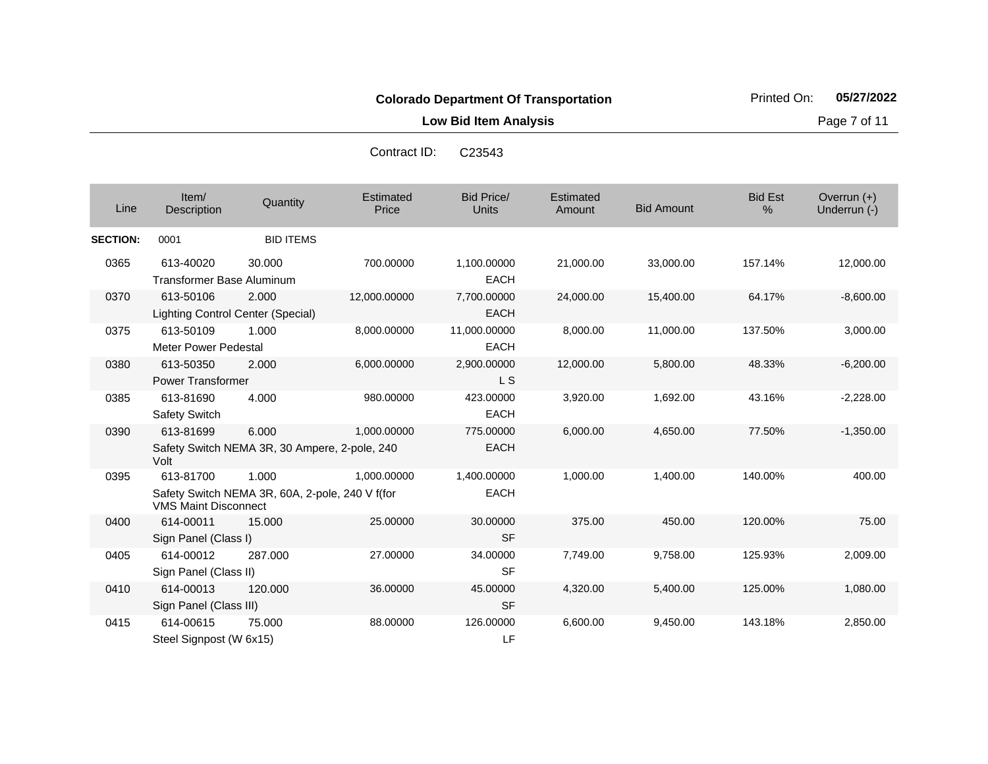**Low Bid Item Analysis Page 7 of 11** 

| C <sub>23543</sub> | Contract ID: |
|--------------------|--------------|
|                    |              |
|                    |              |
|                    |              |

| Line            | Item/<br><b>Description</b>                    | Quantity                                                 | <b>Estimated</b><br>Price | <b>Bid Price/</b><br><b>Units</b> | Estimated<br>Amount | <b>Bid Amount</b> | <b>Bid Est</b><br>% | Overrun $(+)$<br>Underrun (-) |
|-----------------|------------------------------------------------|----------------------------------------------------------|---------------------------|-----------------------------------|---------------------|-------------------|---------------------|-------------------------------|
| <b>SECTION:</b> | 0001                                           | <b>BID ITEMS</b>                                         |                           |                                   |                     |                   |                     |                               |
| 0365            | 613-40020<br><b>Transformer Base Aluminum</b>  | 30.000                                                   | 700.00000                 | 1,100.00000<br><b>EACH</b>        | 21,000.00           | 33,000.00         | 157.14%             | 12,000.00                     |
| 0370            | 613-50106<br>Lighting Control Center (Special) | 2.000                                                    | 12,000.00000              | 7,700.00000<br><b>EACH</b>        | 24,000.00           | 15,400.00         | 64.17%              | $-8,600.00$                   |
| 0375            | 613-50109<br><b>Meter Power Pedestal</b>       | 1.000                                                    | 8,000.00000               | 11,000.00000<br><b>EACH</b>       | 8,000.00            | 11,000.00         | 137.50%             | 3,000.00                      |
| 0380            | 613-50350<br><b>Power Transformer</b>          | 2.000                                                    | 6,000.00000               | 2,900.00000<br>L S                | 12,000.00           | 5,800.00          | 48.33%              | $-6,200.00$                   |
| 0385            | 613-81690<br><b>Safety Switch</b>              | 4.000                                                    | 980.00000                 | 423.00000<br><b>EACH</b>          | 3,920.00            | 1,692.00          | 43.16%              | $-2,228.00$                   |
| 0390            | 613-81699<br>Volt                              | 6.000<br>Safety Switch NEMA 3R, 30 Ampere, 2-pole, 240   | 1,000.00000               | 775.00000<br><b>EACH</b>          | 6,000.00            | 4,650.00          | 77.50%              | $-1,350.00$                   |
| 0395            | 613-81700<br><b>VMS Maint Disconnect</b>       | 1.000<br>Safety Switch NEMA 3R, 60A, 2-pole, 240 V f(for | 1,000.00000               | 1,400.00000<br><b>EACH</b>        | 1,000.00            | 1,400.00          | 140.00%             | 400.00                        |
| 0400            | 614-00011<br>Sign Panel (Class I)              | 15.000                                                   | 25.00000                  | 30.00000<br><b>SF</b>             | 375.00              | 450.00            | 120.00%             | 75.00                         |
| 0405            | 614-00012<br>Sign Panel (Class II)             | 287.000                                                  | 27.00000                  | 34.00000<br><b>SF</b>             | 7,749.00            | 9,758.00          | 125.93%             | 2,009.00                      |
| 0410            | 614-00013<br>Sign Panel (Class III)            | 120,000                                                  | 36.00000                  | 45.00000<br><b>SF</b>             | 4,320.00            | 5,400.00          | 125.00%             | 1,080.00                      |
| 0415            | 614-00615<br>Steel Signpost (W 6x15)           | 75,000                                                   | 88.00000                  | 126.00000<br>LF                   | 6,600.00            | 9,450.00          | 143.18%             | 2,850.00                      |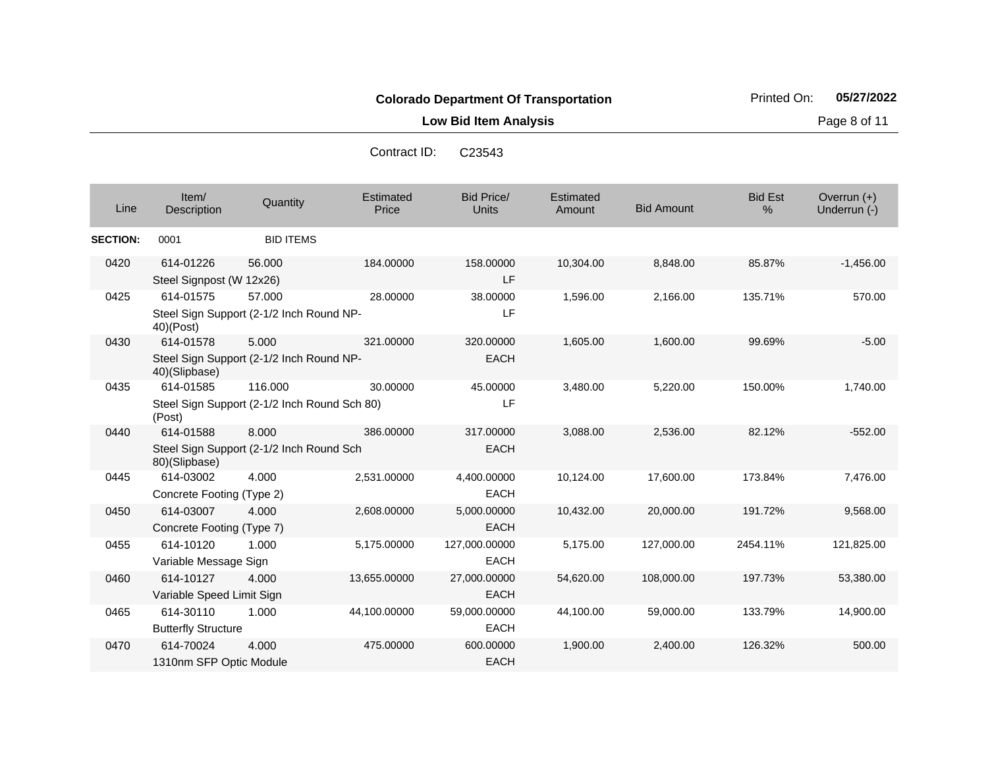**Low Bid Item Analysis Page 8 of 11** 

| Contract ID: | C <sub>23543</sub> |
|--------------|--------------------|
|--------------|--------------------|

| Line            | Item/<br>Description                                      | Quantity         | Estimated<br>Price | <b>Bid Price/</b><br><b>Units</b> | Estimated<br>Amount | <b>Bid Amount</b> | <b>Bid Est</b><br>% | Overrun (+)<br>Underrun (-) |
|-----------------|-----------------------------------------------------------|------------------|--------------------|-----------------------------------|---------------------|-------------------|---------------------|-----------------------------|
| <b>SECTION:</b> | 0001                                                      | <b>BID ITEMS</b> |                    |                                   |                     |                   |                     |                             |
| 0420            | 614-01226<br>Steel Signpost (W 12x26)                     | 56,000           | 184.00000          | 158.00000<br>LF                   | 10,304.00           | 8,848.00          | 85.87%              | $-1,456.00$                 |
| 0425            | 614-01575                                                 | 57.000           | 28.00000           | 38.00000                          | 1,596.00            | 2,166.00          | 135.71%             | 570.00                      |
|                 | Steel Sign Support (2-1/2 Inch Round NP-<br>40)(Post)     |                  |                    | LF                                |                     |                   |                     |                             |
| 0430            | 614-01578                                                 | 5.000            | 321.00000          | 320.00000                         | 1,605.00            | 1,600.00          | 99.69%              | $-5.00$                     |
|                 | Steel Sign Support (2-1/2 Inch Round NP-<br>40)(Slipbase) |                  |                    | <b>EACH</b>                       |                     |                   |                     |                             |
| 0435            | 614-01585                                                 | 116.000          | 30.00000           | 45.00000                          | 3,480.00            | 5,220.00          | 150.00%             | 1,740.00                    |
|                 | Steel Sign Support (2-1/2 Inch Round Sch 80)<br>(Post)    |                  |                    | LF                                |                     |                   |                     |                             |
| 0440            | 614-01588                                                 | 8.000            | 386.00000          | 317.00000                         | 3,088.00            | 2,536.00          | 82.12%              | $-552.00$                   |
|                 | Steel Sign Support (2-1/2 Inch Round Sch<br>80)(Slipbase) |                  |                    | <b>EACH</b>                       |                     |                   |                     |                             |
| 0445            | 614-03002                                                 | 4.000            | 2,531.00000        | 4,400.00000                       | 10,124.00           | 17,600.00         | 173.84%             | 7,476.00                    |
|                 | Concrete Footing (Type 2)                                 |                  |                    | <b>EACH</b>                       |                     |                   |                     |                             |
| 0450            | 614-03007                                                 | 4.000            | 2,608.00000        | 5,000.00000                       | 10,432.00           | 20,000.00         | 191.72%             | 9,568.00                    |
|                 | Concrete Footing (Type 7)                                 |                  |                    | <b>EACH</b>                       |                     |                   |                     |                             |
| 0455            | 614-10120                                                 | 1.000            | 5,175.00000        | 127,000.00000                     | 5,175.00            | 127,000.00        | 2454.11%            | 121,825.00                  |
|                 | Variable Message Sign                                     |                  |                    | <b>EACH</b>                       |                     |                   |                     |                             |
| 0460            | 614-10127                                                 | 4.000            | 13,655.00000       | 27,000.00000                      | 54,620.00           | 108,000.00        | 197.73%             | 53,380.00                   |
|                 | Variable Speed Limit Sign                                 |                  |                    | <b>EACH</b>                       |                     |                   |                     |                             |
| 0465            | 614-30110                                                 | 1.000            | 44,100.00000       | 59,000.00000                      | 44,100.00           | 59,000.00         | 133.79%             | 14,900.00                   |
|                 | <b>Butterfly Structure</b>                                |                  |                    | <b>EACH</b>                       |                     |                   |                     |                             |
| 0470            | 614-70024                                                 | 4.000            | 475.00000          | 600.00000                         | 1,900.00            | 2,400.00          | 126.32%             | 500.00                      |
|                 | 1310nm SFP Optic Module                                   |                  |                    | <b>EACH</b>                       |                     |                   |                     |                             |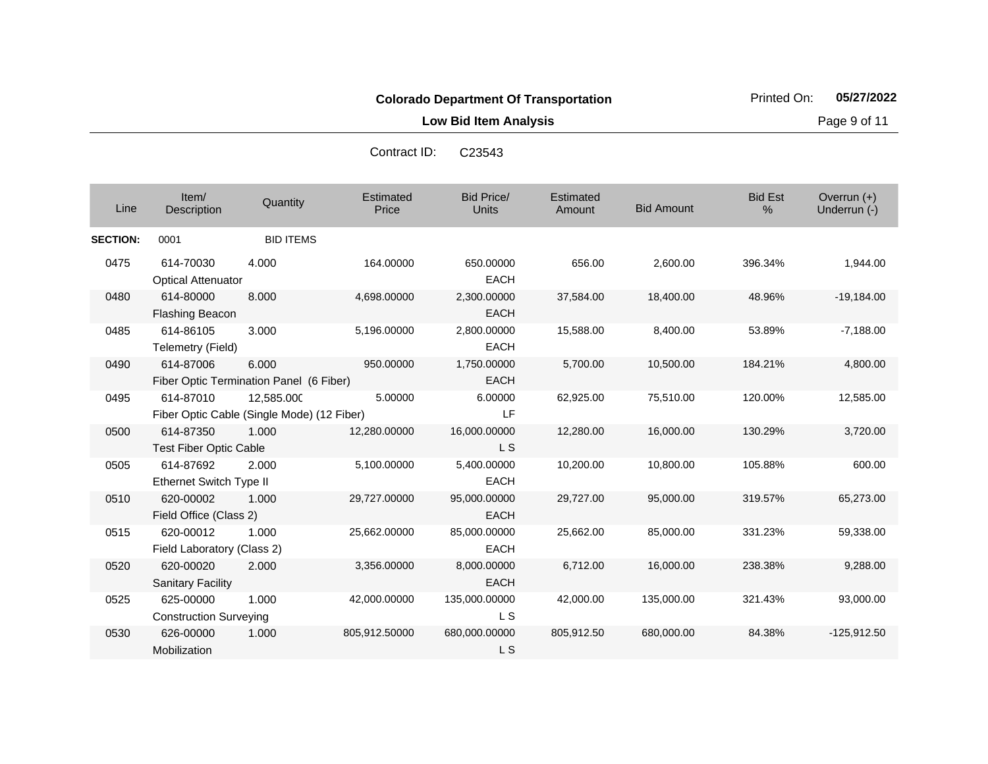**Low Bid Item Analysis Page 9 of 11** 

|                 |                                            |                                                          | Contract ID:       | C <sub>23543</sub>                |                     |                   |                     |                             |
|-----------------|--------------------------------------------|----------------------------------------------------------|--------------------|-----------------------------------|---------------------|-------------------|---------------------|-----------------------------|
| Line            | Item/<br><b>Description</b>                | Quantity                                                 | Estimated<br>Price | <b>Bid Price/</b><br><b>Units</b> | Estimated<br>Amount | <b>Bid Amount</b> | <b>Bid Est</b><br>% | Overrun (+)<br>Underrun (-) |
| <b>SECTION:</b> | 0001                                       | <b>BID ITEMS</b>                                         |                    |                                   |                     |                   |                     |                             |
| 0475            | 614-70030<br><b>Optical Attenuator</b>     | 4.000                                                    | 164.00000          | 650.00000<br><b>EACH</b>          | 656.00              | 2,600.00          | 396.34%             | 1,944.00                    |
| 0480            | 614-80000<br>Flashing Beacon               | 8.000                                                    | 4,698.00000        | 2,300.00000<br><b>EACH</b>        | 37,584.00           | 18,400.00         | 48.96%              | $-19,184.00$                |
| 0485            | 614-86105<br>Telemetry (Field)             | 3.000                                                    | 5,196.00000        | 2,800.00000<br><b>EACH</b>        | 15,588.00           | 8,400.00          | 53.89%              | $-7,188.00$                 |
| 0490            | 614-87006                                  | 6.000<br>Fiber Optic Termination Panel (6 Fiber)         | 950.00000          | 1,750.00000<br><b>EACH</b>        | 5,700.00            | 10,500.00         | 184.21%             | 4,800.00                    |
| 0495            | 614-87010                                  | 12,585.000<br>Fiber Optic Cable (Single Mode) (12 Fiber) | 5.00000            | 6.00000<br>LF                     | 62,925.00           | 75,510.00         | 120.00%             | 12,585.00                   |
| 0500            | 614-87350<br><b>Test Fiber Optic Cable</b> | 1.000                                                    | 12,280.00000       | 16,000.00000<br>L S               | 12,280.00           | 16,000.00         | 130.29%             | 3,720.00                    |
| 0505            | 614-87692<br>Ethernet Switch Type II       | 2.000                                                    | 5,100.00000        | 5,400.00000<br><b>EACH</b>        | 10,200.00           | 10,800.00         | 105.88%             | 600.00                      |
| 0510            | 620-00002<br>Field Office (Class 2)        | 1.000                                                    | 29,727.00000       | 95,000.00000<br><b>EACH</b>       | 29,727.00           | 95,000.00         | 319.57%             | 65,273.00                   |
| 0515            | 620-00012<br>Field Laboratory (Class 2)    | 1.000                                                    | 25,662.00000       | 85,000.00000<br><b>EACH</b>       | 25,662.00           | 85,000.00         | 331.23%             | 59,338.00                   |
| 0520            | 620-00020<br><b>Sanitary Facility</b>      | 2.000                                                    | 3,356.00000        | 8,000.00000<br><b>EACH</b>        | 6,712.00            | 16,000.00         | 238.38%             | 9,288.00                    |
| 0525            | 625-00000<br><b>Construction Surveying</b> | 1.000                                                    | 42,000.00000       | 135,000.00000<br>L S              | 42,000.00           | 135,000.00        | 321.43%             | 93,000.00                   |
| 0530            | 626-00000<br>Mobilization                  | 1.000                                                    | 805,912.50000      | 680,000.00000<br>L S              | 805,912.50          | 680,000.00        | 84.38%              | $-125,912.50$               |

Contract ID: C23543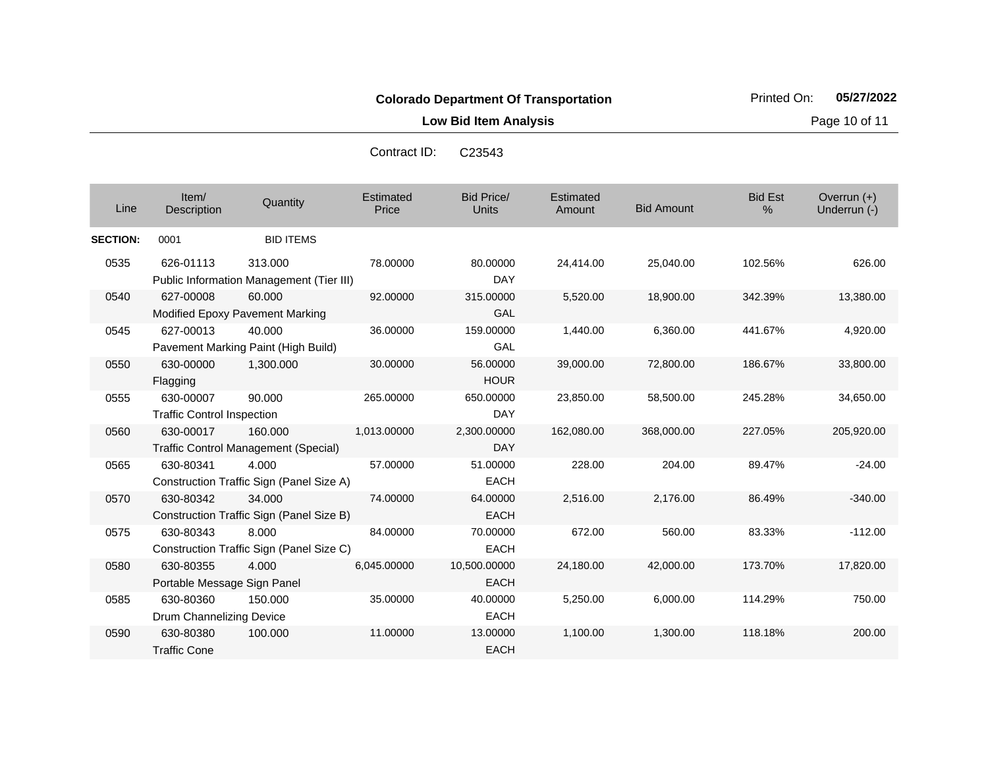**Low Bid Item Analysis Page 10 of 11** 

| Contract ID: | C <sub>23543</sub> |
|--------------|--------------------|
|              |                    |

| Line            | Item/<br><b>Description</b>                    | Quantity                                               | Estimated<br>Price | <b>Bid Price/</b><br><b>Units</b> | Estimated<br>Amount | <b>Bid Amount</b> | <b>Bid Est</b><br>% | Overrun $(+)$<br>Underrun (-) |
|-----------------|------------------------------------------------|--------------------------------------------------------|--------------------|-----------------------------------|---------------------|-------------------|---------------------|-------------------------------|
| <b>SECTION:</b> | 0001                                           | <b>BID ITEMS</b>                                       |                    |                                   |                     |                   |                     |                               |
| 0535            | 626-01113                                      | 313.000<br>Public Information Management (Tier III)    | 78.00000           | 80.00000<br><b>DAY</b>            | 24,414.00           | 25,040.00         | 102.56%             | 626.00                        |
| 0540            | 627-00008                                      | 60.000<br>Modified Epoxy Pavement Marking              | 92.00000           | 315.00000<br>GAL                  | 5,520.00            | 18,900.00         | 342.39%             | 13,380.00                     |
| 0545            | 627-00013                                      | 40.000<br>Pavement Marking Paint (High Build)          | 36.00000           | 159.00000<br>GAL                  | 1,440.00            | 6,360.00          | 441.67%             | 4,920.00                      |
| 0550            | 630-00000<br>Flagging                          | 1,300.000                                              | 30.00000           | 56.00000<br><b>HOUR</b>           | 39,000.00           | 72,800.00         | 186.67%             | 33,800.00                     |
| 0555            | 630-00007<br><b>Traffic Control Inspection</b> | 90.000                                                 | 265.00000          | 650.00000<br>DAY                  | 23,850.00           | 58,500.00         | 245.28%             | 34,650.00                     |
| 0560            | 630-00017                                      | 160.000<br><b>Traffic Control Management (Special)</b> | 1,013.00000        | 2,300.00000<br><b>DAY</b>         | 162,080.00          | 368,000.00        | 227.05%             | 205,920.00                    |
| 0565            | 630-80341                                      | 4.000<br>Construction Traffic Sign (Panel Size A)      | 57.00000           | 51.00000<br><b>EACH</b>           | 228.00              | 204.00            | 89.47%              | $-24.00$                      |
| 0570            | 630-80342                                      | 34.000<br>Construction Traffic Sign (Panel Size B)     | 74.00000           | 64.00000<br><b>EACH</b>           | 2,516.00            | 2,176.00          | 86.49%              | $-340.00$                     |
| 0575            | 630-80343                                      | 8.000<br>Construction Traffic Sign (Panel Size C)      | 84.00000           | 70.00000<br><b>EACH</b>           | 672.00              | 560.00            | 83.33%              | $-112.00$                     |
| 0580            | 630-80355<br>Portable Message Sign Panel       | 4.000                                                  | 6,045.00000        | 10,500.00000<br><b>EACH</b>       | 24,180.00           | 42,000.00         | 173.70%             | 17,820.00                     |
| 0585            | 630-80360<br>Drum Channelizing Device          | 150.000                                                | 35.00000           | 40.00000<br><b>EACH</b>           | 5,250.00            | 6,000.00          | 114.29%             | 750.00                        |
| 0590            | 630-80380<br><b>Traffic Cone</b>               | 100.000                                                | 11.00000           | 13.00000<br><b>EACH</b>           | 1,100.00            | 1,300.00          | 118.18%             | 200.00                        |